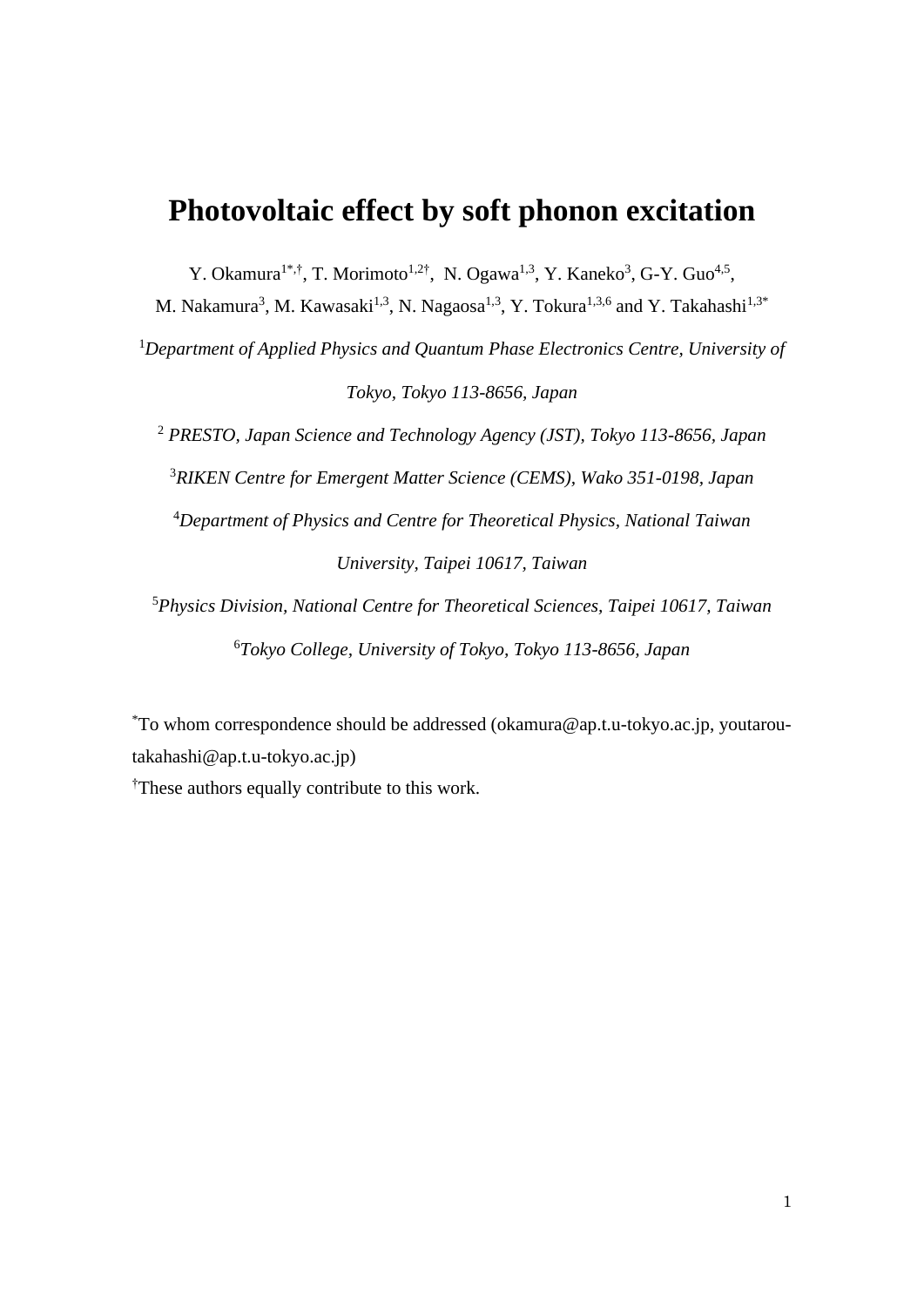# **Photovoltaic effect by soft phonon excitation**

Y. Okamura<sup>1\*,†</sup>, T. Morimoto<sup>1,2†</sup>, N. Ogawa<sup>1,3</sup>, Y. Kaneko<sup>3</sup>, G-Y. Guo<sup>4,5</sup>,

M. Nakamura<sup>3</sup>, M. Kawasaki<sup>1,3</sup>, N. Nagaosa<sup>1,3</sup>, Y. Tokura<sup>1,3,6</sup> and Y. Takahashi<sup>1,3\*</sup>

<sup>1</sup>*Department of Applied Physics and Quantum Phase Electronics Centre, University of Tokyo, Tokyo 113-8656, Japan*

 *PRESTO, Japan Science and Technology Agency (JST), Tokyo 113-8656, Japan RIKEN Centre for Emergent Matter Science (CEMS), Wako 351-0198, Japan Department of Physics and Centre for Theoretical Physics, National Taiwan University, Taipei 10617, Taiwan*

<sup>5</sup>*Physics Division, National Centre for Theoretical Sciences, Taipei 10617, Taiwan* <sup>6</sup>*Tokyo College, University of Tokyo, Tokyo 113-8656, Japan*

\*To whom correspondence should be addressed (okamura@ap.t.u-tokyo.ac.jp, [youtarou](mailto:youtarou-takahashi@ap.t.u-tokyo.ac.jp)[takahashi@ap.t.u-tokyo.ac.jp\)](mailto:youtarou-takahashi@ap.t.u-tokyo.ac.jp) †These authors equally contribute to this work.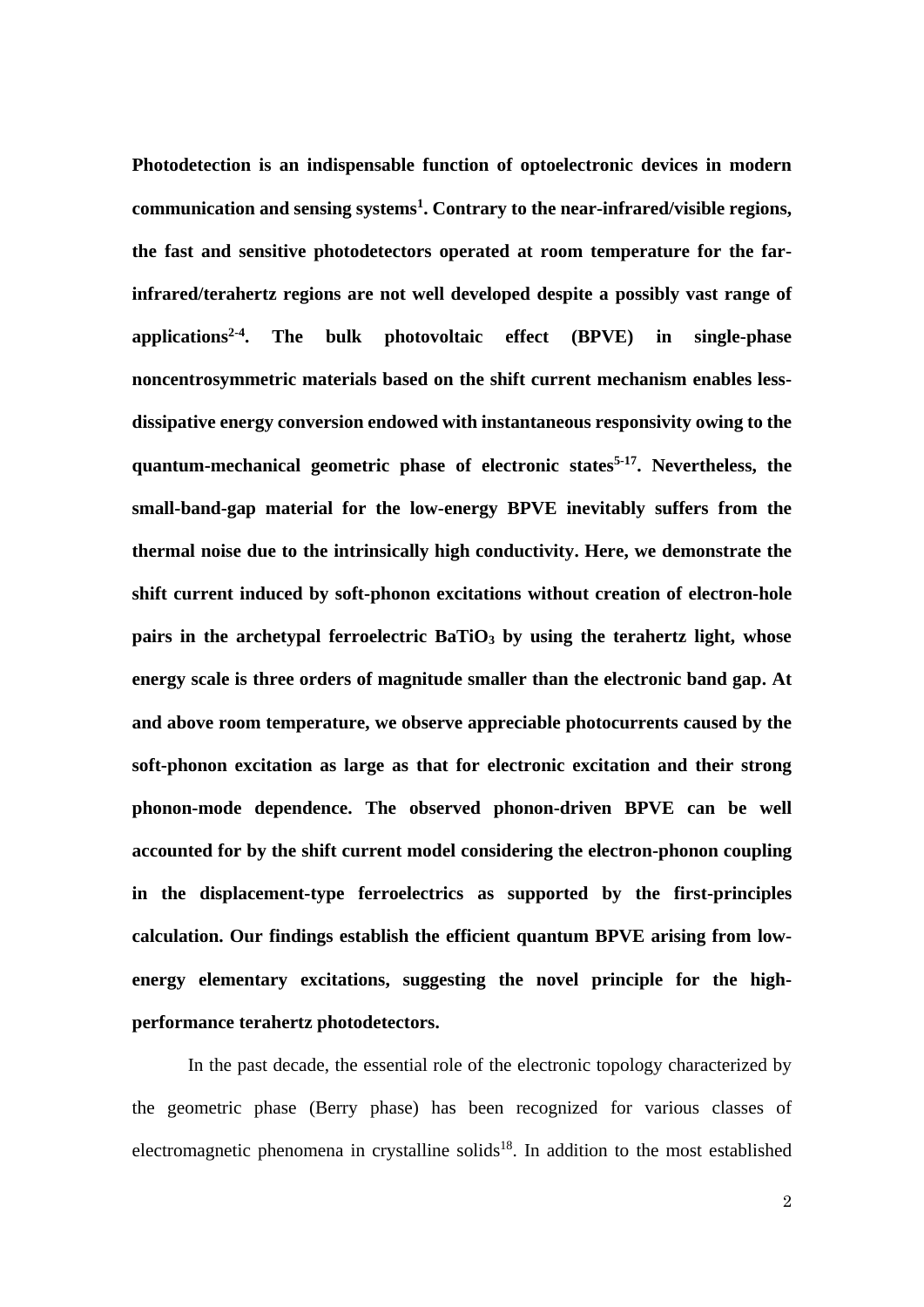**Photodetection is an indispensable function of optoelectronic devices in modern communication and sensing systems<sup>1</sup> . Contrary to the near-infrared/visible regions, the fast and sensitive photodetectors operated at room temperature for the farinfrared/terahertz regions are not well developed despite a possibly vast range of applications2-4 . The bulk photovoltaic effect (BPVE) in single-phase noncentrosymmetric materials based on the shift current mechanism enables lessdissipative energy conversion endowed with instantaneous responsivity owing to the quantum-mechanical geometric phase of electronic states5-17 . Nevertheless, the small-band-gap material for the low-energy BPVE inevitably suffers from the thermal noise due to the intrinsically high conductivity. Here, we demonstrate the shift current induced by soft-phonon excitations without creation of electron-hole pairs in the archetypal ferroelectric BaTiO<sup>3</sup> by using the terahertz light, whose energy scale is three orders of magnitude smaller than the electronic band gap. At and above room temperature, we observe appreciable photocurrents caused by the soft-phonon excitation as large as that for electronic excitation and their strong phonon-mode dependence. The observed phonon-driven BPVE can be well accounted for by the shift current model considering the electron-phonon coupling in the displacement-type ferroelectrics as supported by the first-principles calculation. Our findings establish the efficient quantum BPVE arising from lowenergy elementary excitations, suggesting the novel principle for the highperformance terahertz photodetectors.**

In the past decade, the essential role of the electronic topology characterized by the geometric phase (Berry phase) has been recognized for various classes of electromagnetic phenomena in crystalline solids<sup>18</sup>. In addition to the most established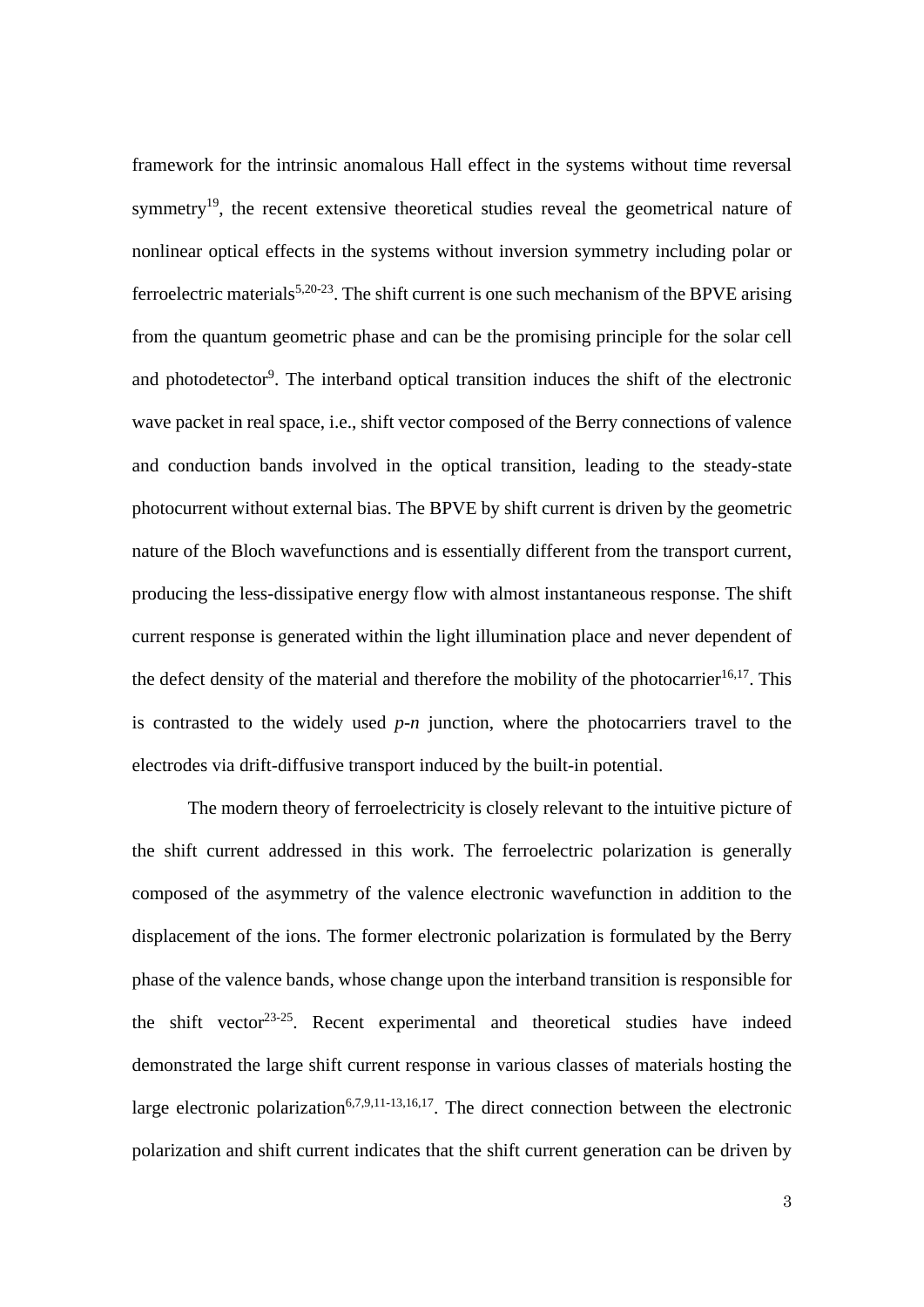framework for the intrinsic anomalous Hall effect in the systems without time reversal symmetry<sup>19</sup>, the recent extensive theoretical studies reveal the geometrical nature of nonlinear optical effects in the systems without inversion symmetry including polar or ferroelectric materials<sup>5,20-23</sup>. The shift current is one such mechanism of the BPVE arising from the quantum geometric phase and can be the promising principle for the solar cell and photodetector<sup>9</sup>. The interband optical transition induces the shift of the electronic wave packet in real space, i.e., shift vector composed of the Berry connections of valence and conduction bands involved in the optical transition, leading to the steady-state photocurrent without external bias. The BPVE by shift current is driven by the geometric nature of the Bloch wavefunctions and is essentially different from the transport current, producing the less-dissipative energy flow with almost instantaneous response. The shift current response is generated within the light illumination place and never dependent of the defect density of the material and therefore the mobility of the photocarrier<sup>16,17</sup>. This is contrasted to the widely used *p*-*n* junction, where the photocarriers travel to the electrodes via drift-diffusive transport induced by the built-in potential.

The modern theory of ferroelectricity is closely relevant to the intuitive picture of the shift current addressed in this work. The ferroelectric polarization is generally composed of the asymmetry of the valence electronic wavefunction in addition to the displacement of the ions. The former electronic polarization is formulated by the Berry phase of the valence bands, whose change upon the interband transition is responsible for the shift vector<sup>23-25</sup>. Recent experimental and theoretical studies have indeed demonstrated the large shift current response in various classes of materials hosting the large electronic polarization<sup>6,7,9,11-13,16,17</sup>. The direct connection between the electronic polarization and shift current indicates that the shift current generation can be driven by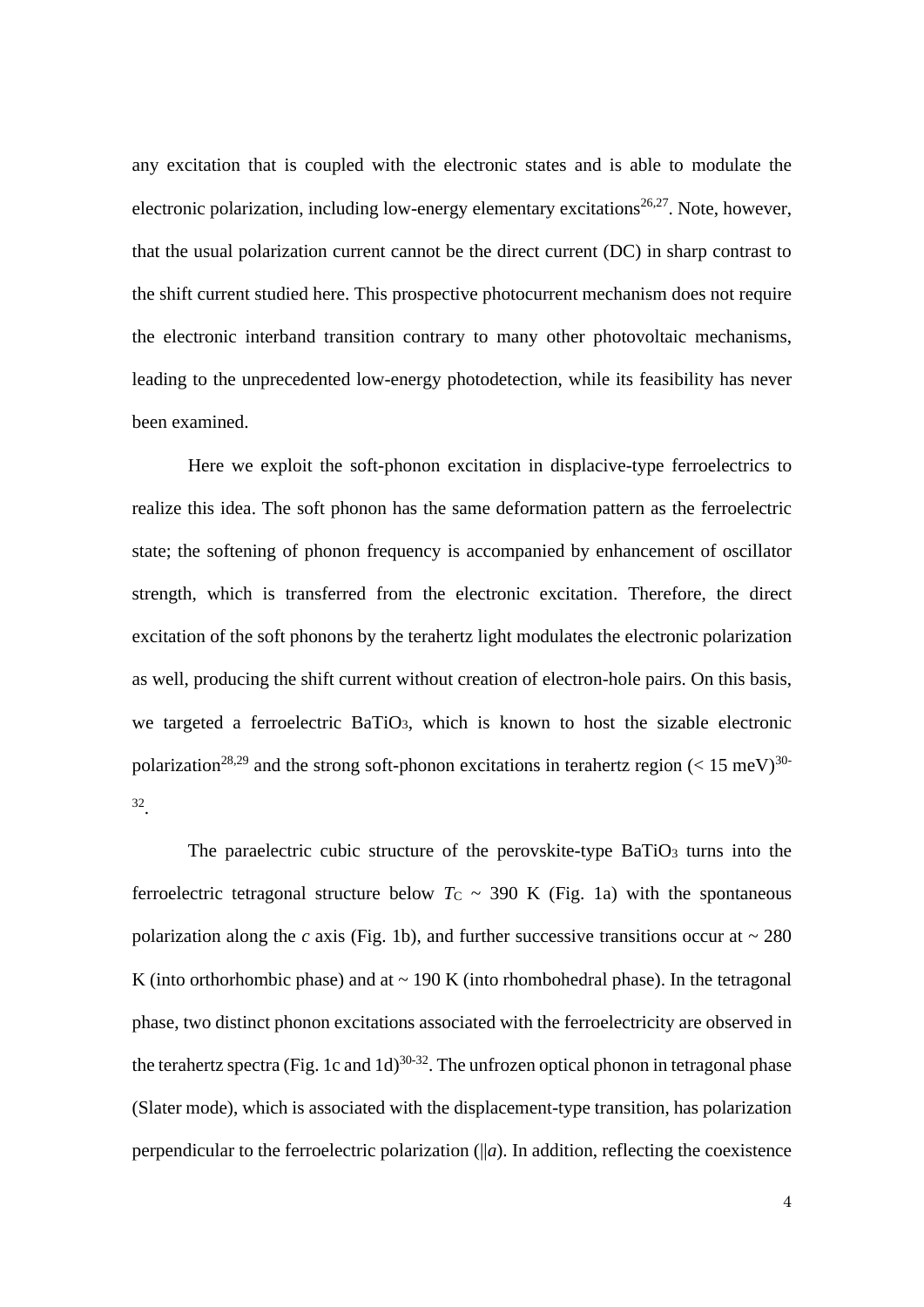any excitation that is coupled with the electronic states and is able to modulate the electronic polarization, including low-energy elementary excitations<sup>26,27</sup>. Note, however, that the usual polarization current cannot be the direct current (DC) in sharp contrast to the shift current studied here. This prospective photocurrent mechanism does not require the electronic interband transition contrary to many other photovoltaic mechanisms, leading to the unprecedented low-energy photodetection, while its feasibility has never been examined.

Here we exploit the soft-phonon excitation in displacive-type ferroelectrics to realize this idea. The soft phonon has the same deformation pattern as the ferroelectric state; the softening of phonon frequency is accompanied by enhancement of oscillator strength, which is transferred from the electronic excitation. Therefore, the direct excitation of the soft phonons by the terahertz light modulates the electronic polarization as well, producing the shift current without creation of electron-hole pairs. On this basis, we targeted a ferroelectric BaTiO<sub>3</sub>, which is known to host the sizable electronic polarization<sup>28,29</sup> and the strong soft-phonon excitations in terahertz region (< 15 meV)<sup>30-</sup> 32 .

The paraelectric cubic structure of the perovskite-type BaTiO<sub>3</sub> turns into the ferroelectric tetragonal structure below  $T_c \sim 390$  K (Fig. 1a) with the spontaneous polarization along the *c* axis (Fig. 1b), and further successive transitions occur at  $\sim 280$ K (into orthorhombic phase) and at  $\sim$  190 K (into rhombohedral phase). In the tetragonal phase, two distinct phonon excitations associated with the ferroelectricity are observed in the terahertz spectra (Fig. 1c and  $1d$ )<sup>30-32</sup>. The unfrozen optical phonon in tetragonal phase (Slater mode), which is associated with the displacement-type transition, has polarization perpendicular to the ferroelectric polarization (||*a*). In addition, reflecting the coexistence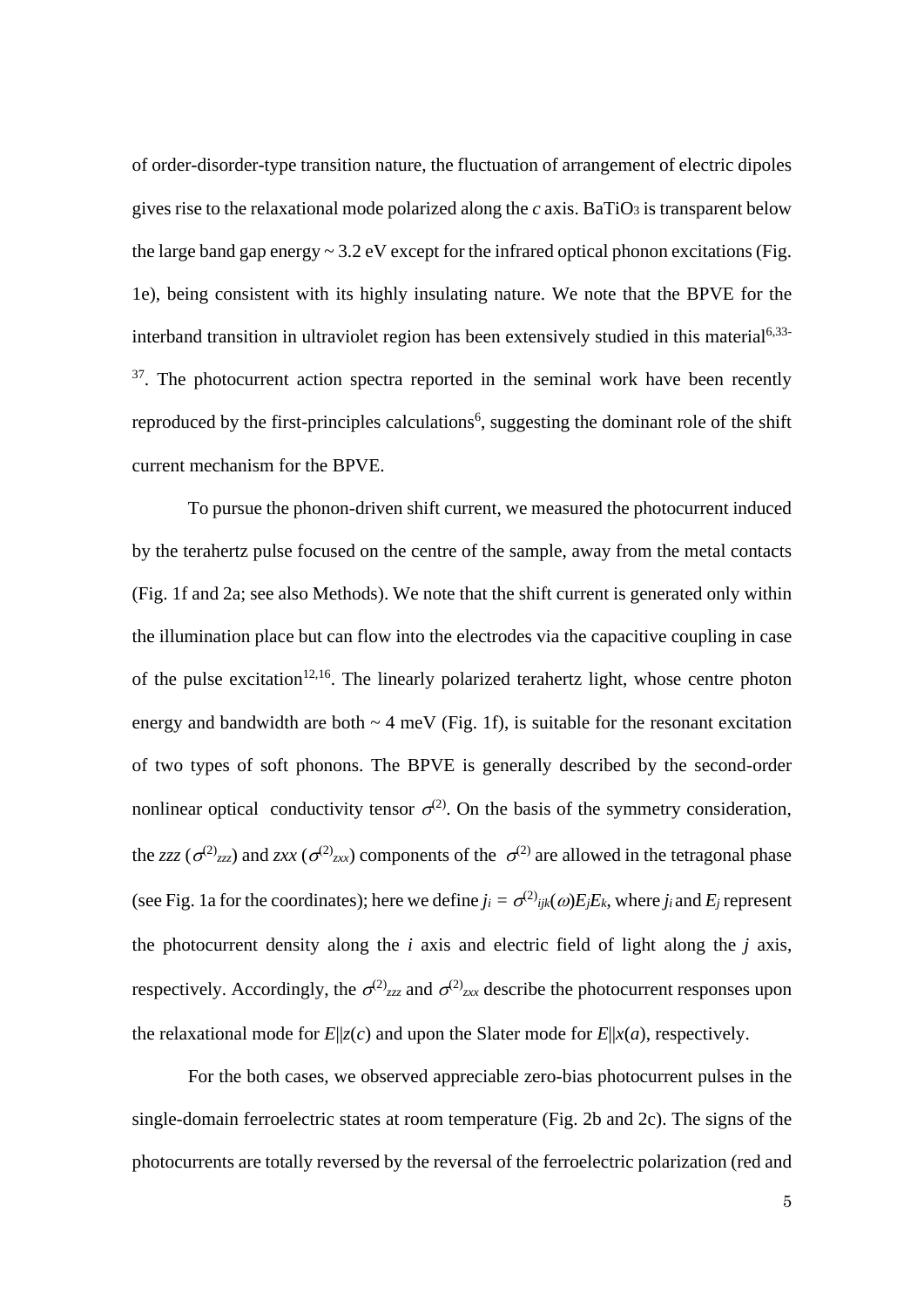of order-disorder-type transition nature, the fluctuation of arrangement of electric dipoles gives rise to the relaxational mode polarized along the  $c$  axis. BaTiO<sub>3</sub> is transparent below the large band gap energy  $\sim 3.2$  eV except for the infrared optical phonon excitations (Fig. 1e), being consistent with its highly insulating nature. We note that the BPVE for the interband transition in ultraviolet region has been extensively studied in this material<sup>6,33-</sup> <sup>37</sup>. The photocurrent action spectra reported in the seminal work have been recently reproduced by the first-principles calculations<sup>6</sup>, suggesting the dominant role of the shift current mechanism for the BPVE.

To pursue the phonon-driven shift current, we measured the photocurrent induced by the terahertz pulse focused on the centre of the sample, away from the metal contacts (Fig. 1f and 2a; see also Methods). We note that the shift current is generated only within the illumination place but can flow into the electrodes via the capacitive coupling in case of the pulse excitation<sup>12,16</sup>. The linearly polarized terahertz light, whose centre photon energy and bandwidth are both  $\sim$  4 meV (Fig. 1f), is suitable for the resonant excitation of two types of soft phonons. The BPVE is generally described by the second-order nonlinear optical conductivity tensor  $\sigma^{(2)}$ . On the basis of the symmetry consideration, the *zzz* ( $\sigma^{(2)}$ <sub>zzz</sub>) and *zxx* ( $\sigma^{(2)}$ <sub>zxx</sub>) components of the  $\sigma^{(2)}$  are allowed in the tetragonal phase (see Fig. 1a for the coordinates); here we define  $j_i = \sigma^{(2)}{}_{ijk}(\omega)E_jE_k$ , where  $j_i$  and  $E_j$  represent the photocurrent density along the *i* axis and electric field of light along the *j* axis, respectively. Accordingly, the  $\sigma^{(2)}_{zzz}$  and  $\sigma^{(2)}_{zx}$  describe the photocurrent responses upon the relaxational mode for  $E||z(c)$  and upon the Slater mode for  $E||x(a)$ , respectively.

For the both cases, we observed appreciable zero-bias photocurrent pulses in the single-domain ferroelectric states at room temperature (Fig. 2b and 2c). The signs of the photocurrents are totally reversed by the reversal of the ferroelectric polarization (red and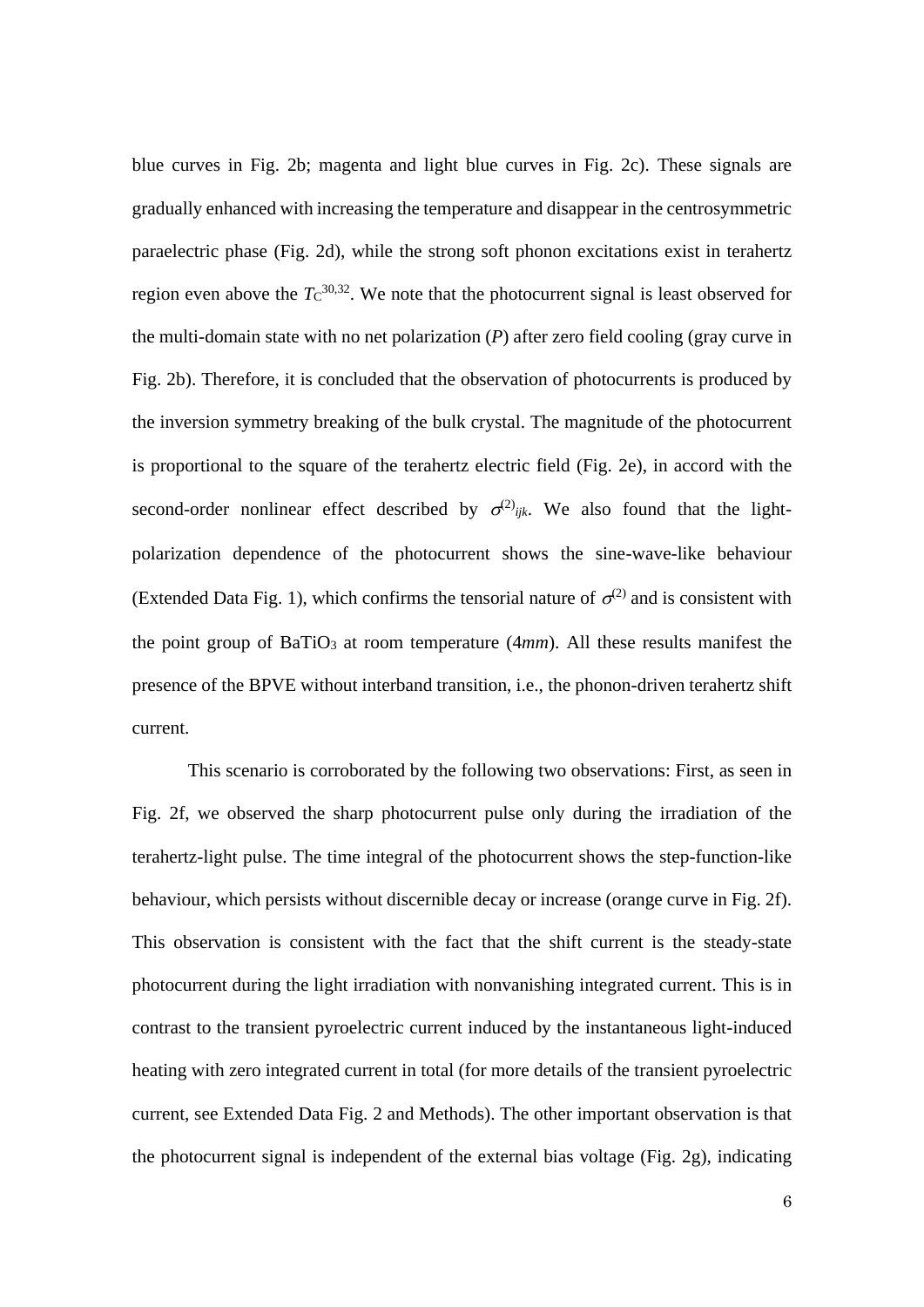blue curves in Fig. 2b; magenta and light blue curves in Fig. 2c). These signals are gradually enhanced with increasing the temperature and disappear in the centrosymmetric paraelectric phase (Fig. 2d), while the strong soft phonon excitations exist in terahertz region even above the  $T<sub>C</sub><sup>30,32</sup>$ . We note that the photocurrent signal is least observed for the multi-domain state with no net polarization (*P*) after zero field cooling (gray curve in Fig. 2b). Therefore, it is concluded that the observation of photocurrents is produced by the inversion symmetry breaking of the bulk crystal. The magnitude of the photocurrent is proportional to the square of the terahertz electric field (Fig. 2e), in accord with the second-order nonlinear effect described by  $\sigma^{(2)}$ <sub>ijk</sub>. We also found that the lightpolarization dependence of the photocurrent shows the sine-wave-like behaviour (Extended Data Fig. 1), which confirms the tensorial nature of  $\sigma^{(2)}$  and is consistent with the point group of BaTiO<sub>3</sub> at room temperature (4*mm*). All these results manifest the presence of the BPVE without interband transition, i.e., the phonon-driven terahertz shift current.

This scenario is corroborated by the following two observations: First, as seen in Fig. 2f, we observed the sharp photocurrent pulse only during the irradiation of the terahertz-light pulse. The time integral of the photocurrent shows the step-function-like behaviour, which persists without discernible decay or increase (orange curve in Fig. 2f). This observation is consistent with the fact that the shift current is the steady-state photocurrent during the light irradiation with nonvanishing integrated current. This is in contrast to the transient pyroelectric current induced by the instantaneous light-induced heating with zero integrated current in total (for more details of the transient pyroelectric current, see Extended Data Fig. 2 and Methods). The other important observation is that the photocurrent signal is independent of the external bias voltage (Fig. 2g), indicating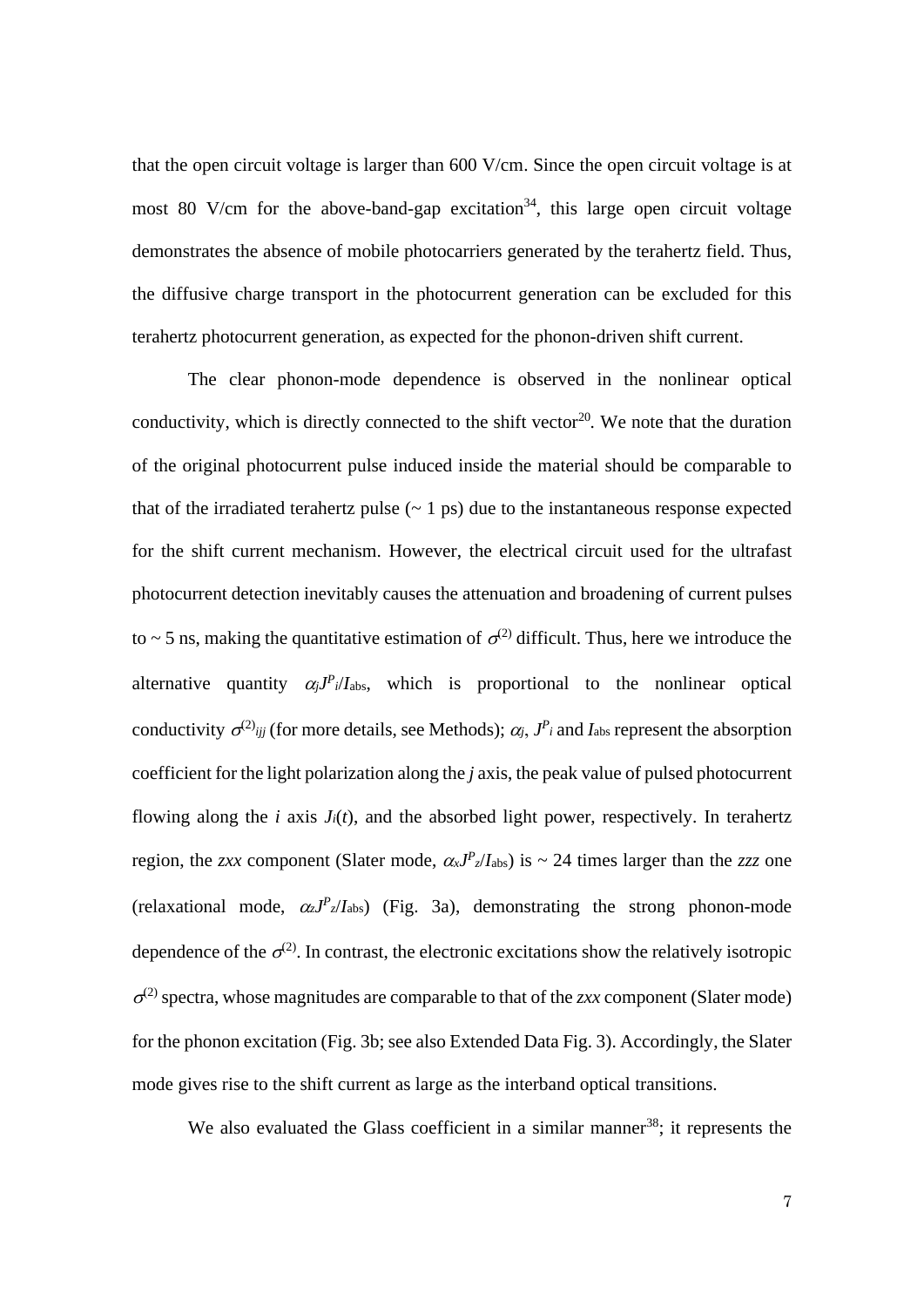that the open circuit voltage is larger than 600 V/cm. Since the open circuit voltage is at most 80 V/cm for the above-band-gap excitation<sup>34</sup>, this large open circuit voltage demonstrates the absence of mobile photocarriers generated by the terahertz field. Thus, the diffusive charge transport in the photocurrent generation can be excluded for this terahertz photocurrent generation, as expected for the phonon-driven shift current.

The clear phonon-mode dependence is observed in the nonlinear optical conductivity, which is directly connected to the shift vector<sup>20</sup>. We note that the duration of the original photocurrent pulse induced inside the material should be comparable to that of the irradiated terahertz pulse  $(-1)$  ps) due to the instantaneous response expected for the shift current mechanism. However, the electrical circuit used for the ultrafast photocurrent detection inevitably causes the attenuation and broadening of current pulses to  $\sim$  5 ns, making the quantitative estimation of  $\sigma$ <sup>(2)</sup> difficult. Thus, here we introduce the alternative quantity  $\alpha_j J^P_i/I_{\text{abs}}$ , which is proportional to the nonlinear optical conductivity  $\sigma^{(2)}_{ijj}$  (for more details, see Methods);  $\alpha_j$ ,  $J^P_i$  and  $I_{\text{abs}}$  represent the absorption coefficient for the light polarization along the *j* axis, the peak value of pulsed photocurrent flowing along the  $i$  axis  $J_i(t)$ , and the absorbed light power, respectively. In terahertz region, the *zxx* component (Slater mode,  $\alpha_x J^P$ <sub>*z*</sub>/*I*<sub>abs</sub>) is ~ 24 times larger than the *zzz* one (relaxational mode,  $\alpha_z J^P_z/I_{\text{abs}}$ ) (Fig. 3a), demonstrating the strong phonon-mode dependence of the  $\sigma^{(2)}$ . In contrast, the electronic excitations show the relatively isotropic  $\sigma^{(2)}$  spectra, whose magnitudes are comparable to that of the *zxx* component (Slater mode) for the phonon excitation (Fig. 3b; see also Extended Data Fig. 3). Accordingly, the Slater mode gives rise to the shift current as large as the interband optical transitions.

We also evaluated the Glass coefficient in a similar manner<sup>38</sup>; it represents the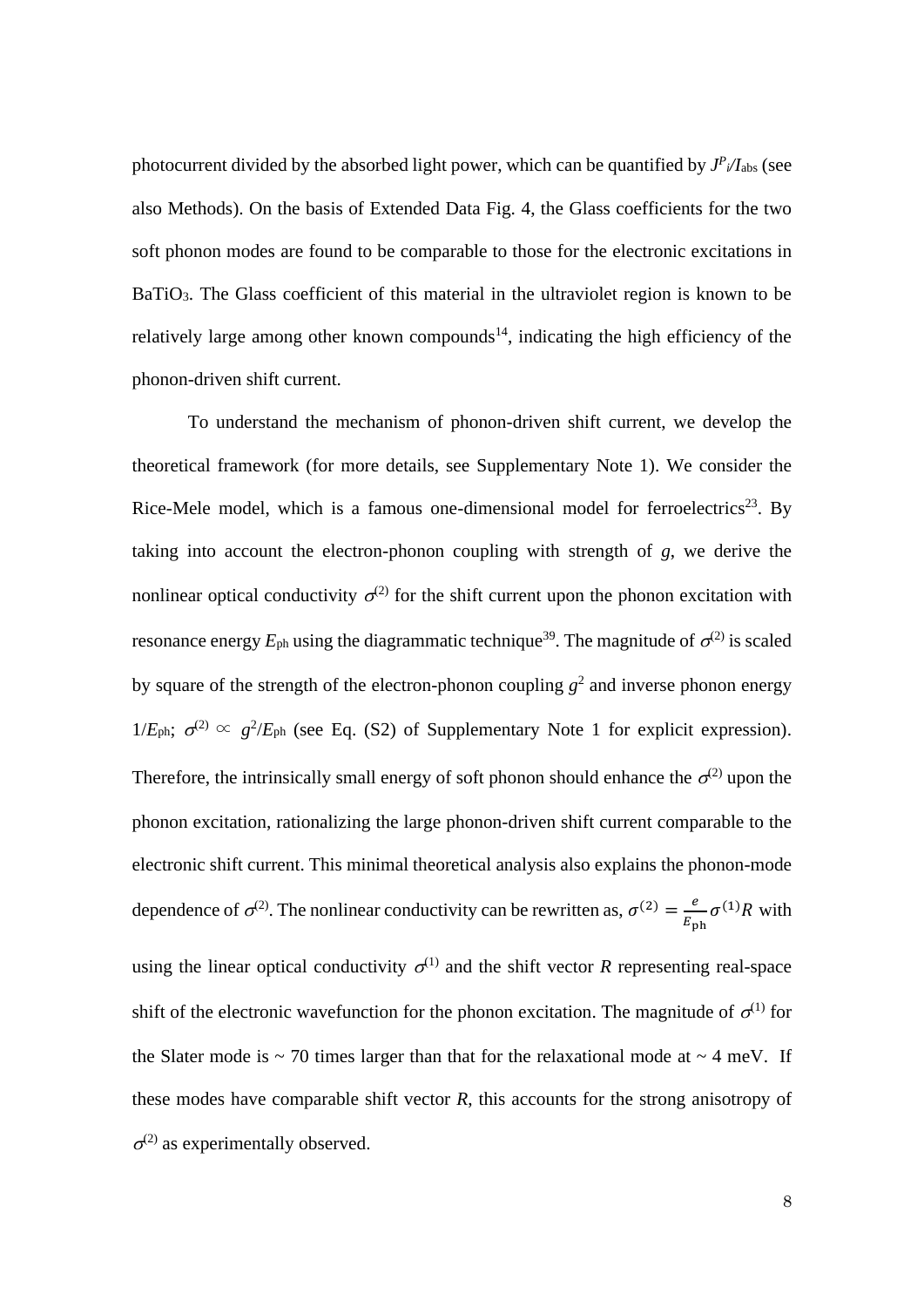photocurrent divided by the absorbed light power, which can be quantified by  $J^P$ <sub>i</sub>/I<sub>abs</sub> (see also Methods). On the basis of Extended Data Fig. 4, the Glass coefficients for the two soft phonon modes are found to be comparable to those for the electronic excitations in BaTiO<sub>3</sub>. The Glass coefficient of this material in the ultraviolet region is known to be relatively large among other known compounds<sup>14</sup>, indicating the high efficiency of the phonon-driven shift current.

To understand the mechanism of phonon-driven shift current, we develop the theoretical framework (for more details, see Supplementary Note 1). We consider the Rice-Mele model, which is a famous one-dimensional model for ferroelectrics<sup>23</sup>. By taking into account the electron-phonon coupling with strength of *g*, we derive the nonlinear optical conductivity  $\sigma^{(2)}$  for the shift current upon the phonon excitation with resonance energy  $E_{ph}$  using the diagrammatic technique<sup>39</sup>. The magnitude of  $\sigma^{(2)}$  is scaled by square of the strength of the electron-phonon coupling  $g^2$  and inverse phonon energy  $1/E_{\text{ph}}$ ;  $\sigma^{(2)} \propto g^2/E_{\text{ph}}$  (see Eq. (S2) of Supplementary Note 1 for explicit expression). Therefore, the intrinsically small energy of soft phonon should enhance the  $\sigma^{(2)}$  upon the phonon excitation, rationalizing the large phonon-driven shift current comparable to the electronic shift current. This minimal theoretical analysis also explains the phonon-mode dependence of  $\sigma^{(2)}$ . The nonlinear conductivity can be rewritten as,  $\sigma^{(2)} = \frac{e}{E}$  $\frac{e}{E_{\text{ph}}} \sigma^{(1)} R$  with using the linear optical conductivity  $\sigma^{(1)}$  and the shift vector *R* representing real-space shift of the electronic wavefunction for the phonon excitation. The magnitude of  $\sigma^{(1)}$  for the Slater mode is  $\sim$  70 times larger than that for the relaxational mode at  $\sim$  4 meV. If these modes have comparable shift vector *R*, this accounts for the strong anisotropy of  $\sigma^{(2)}$  as experimentally observed.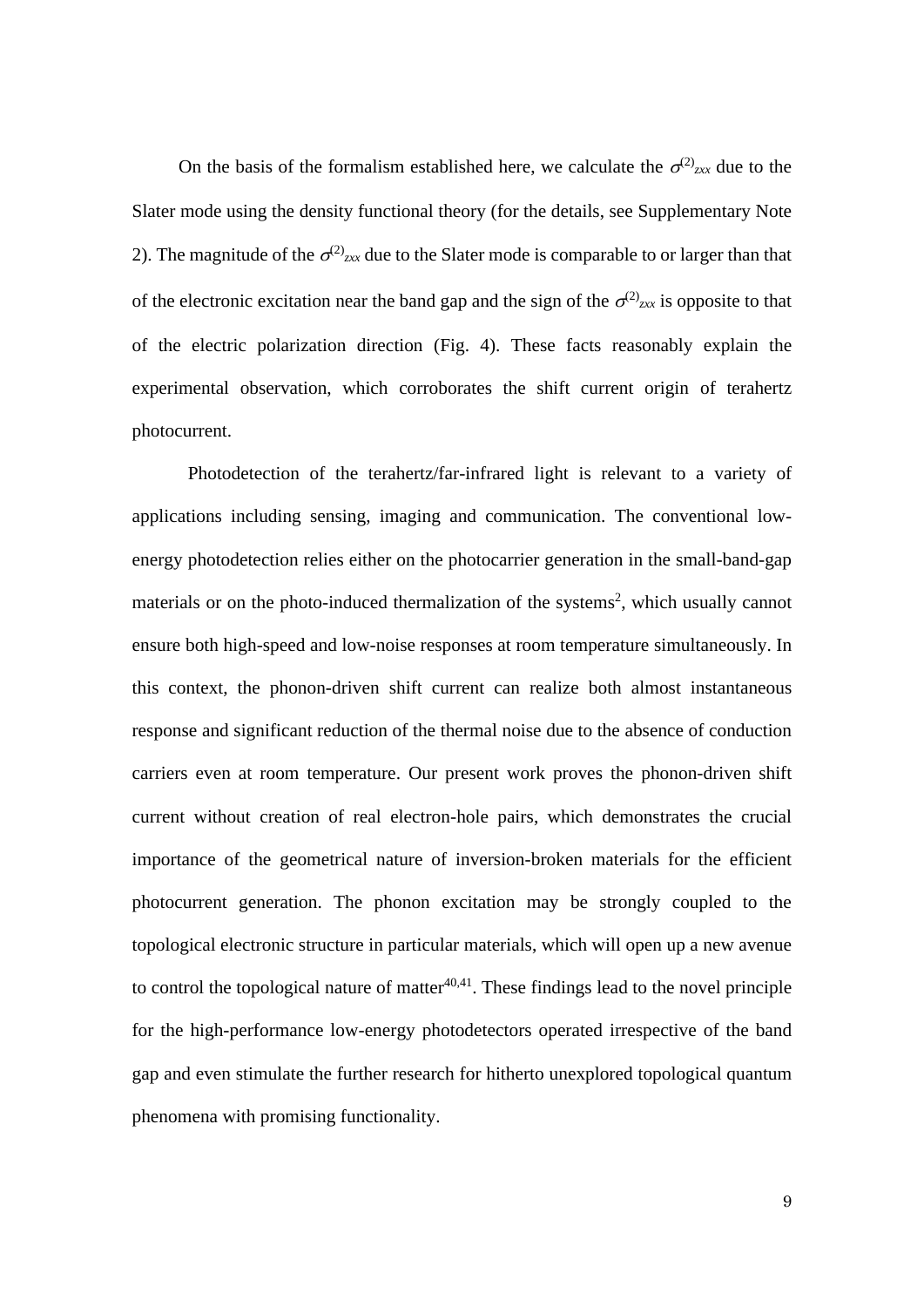On the basis of the formalism established here, we calculate the  $\sigma^{(2)}_{x}$  due to the Slater mode using the density functional theory (for the details, see Supplementary Note 2). The magnitude of the  $\sigma^{(2)}_{zxx}$  due to the Slater mode is comparable to or larger than that of the electronic excitation near the band gap and the sign of the  $\sigma^{(2)}_{z}$  is opposite to that of the electric polarization direction (Fig. 4). These facts reasonably explain the experimental observation, which corroborates the shift current origin of terahertz photocurrent.

Photodetection of the terahertz/far-infrared light is relevant to a variety of applications including sensing, imaging and communication. The conventional lowenergy photodetection relies either on the photocarrier generation in the small-band-gap materials or on the photo-induced thermalization of the systems<sup>2</sup>, which usually cannot ensure both high-speed and low-noise responses at room temperature simultaneously. In this context, the phonon-driven shift current can realize both almost instantaneous response and significant reduction of the thermal noise due to the absence of conduction carriers even at room temperature. Our present work proves the phonon-driven shift current without creation of real electron-hole pairs, which demonstrates the crucial importance of the geometrical nature of inversion-broken materials for the efficient photocurrent generation. The phonon excitation may be strongly coupled to the topological electronic structure in particular materials, which will open up a new avenue to control the topological nature of matter $40,41$ . These findings lead to the novel principle for the high-performance low-energy photodetectors operated irrespective of the band gap and even stimulate the further research for hitherto unexplored topological quantum phenomena with promising functionality.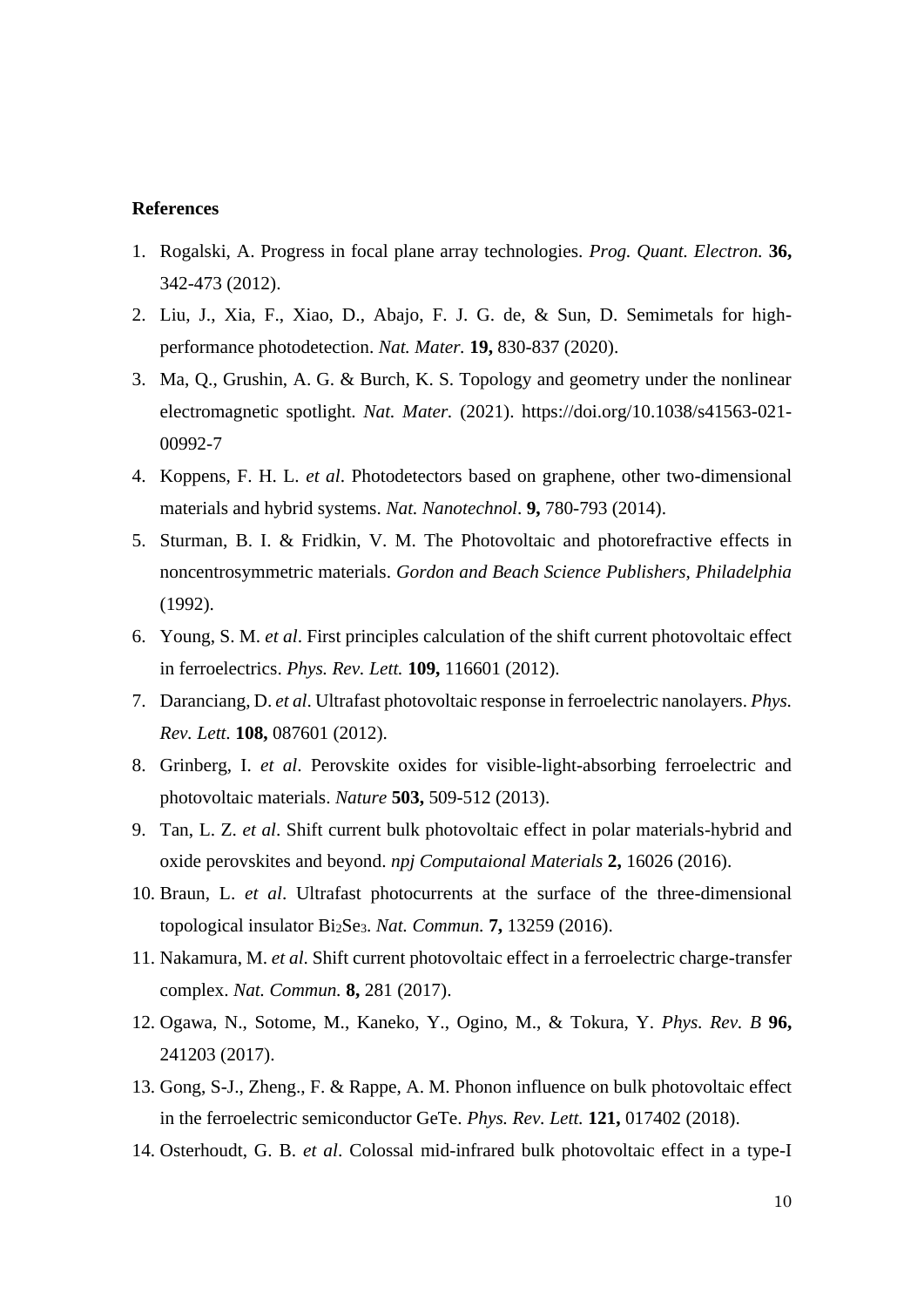#### **References**

- 1. Rogalski, A. Progress in focal plane array technologies. *Prog. Quant. Electron.* **36,** 342-473 (2012).
- 2. Liu, J., Xia, F., Xiao, D., Abajo, F. J. G. de, & Sun, D. Semimetals for highperformance photodetection. *Nat. Mater.* **19,** 830-837 (2020).
- 3. Ma, Q., Grushin, A. G. & Burch, K. S. Topology and geometry under the nonlinear electromagnetic spotlight. *Nat. Mater.* (2021). https://doi.org/10.1038/s41563-021- 00992-7
- 4. Koppens, F. H. L. *et al*. Photodetectors based on graphene, other two-dimensional materials and hybrid systems. *Nat. Nanotechnol*. **9,** 780-793 (2014).
- 5. Sturman, B. I. & Fridkin, V. M. The Photovoltaic and photorefractive effects in noncentrosymmetric materials. *Gordon and Beach Science Publishers, Philadelphia* (1992).
- 6. Young, S. M. *et al*. First principles calculation of the shift current photovoltaic effect in ferroelectrics. *Phys. Rev. Lett.* **109,** 116601 (2012).
- 7. Daranciang, D. *et al*. Ultrafast photovoltaic response in ferroelectric nanolayers. *Phys. Rev. Lett.* **108,** 087601 (2012).
- 8. Grinberg, I. *et al*. Perovskite oxides for visible-light-absorbing ferroelectric and photovoltaic materials. *Nature* **503,** 509-512 (2013).
- 9. Tan, L. Z. *et al*. Shift current bulk photovoltaic effect in polar materials-hybrid and oxide perovskites and beyond. *npj Computaional Materials* **2,** 16026 (2016).
- 10. Braun, L. *et al*. Ultrafast photocurrents at the surface of the three-dimensional topological insulator Bi2Se3. *Nat. Commun.* **7,** 13259 (2016).
- 11. Nakamura, M. *et al*. Shift current photovoltaic effect in a ferroelectric charge-transfer complex. *Nat. Commun.* **8,** 281 (2017).
- 12. Ogawa, N., Sotome, M., Kaneko, Y., Ogino, M., & Tokura, Y. *Phys. Rev. B* **96,** 241203 (2017).
- 13. Gong, S-J., Zheng., F. & Rappe, A. M. Phonon influence on bulk photovoltaic effect in the ferroelectric semiconductor GeTe. *Phys. Rev. Lett.* **121,** 017402 (2018).
- 14. Osterhoudt, G. B. *et al*. Colossal mid-infrared bulk photovoltaic effect in a type-I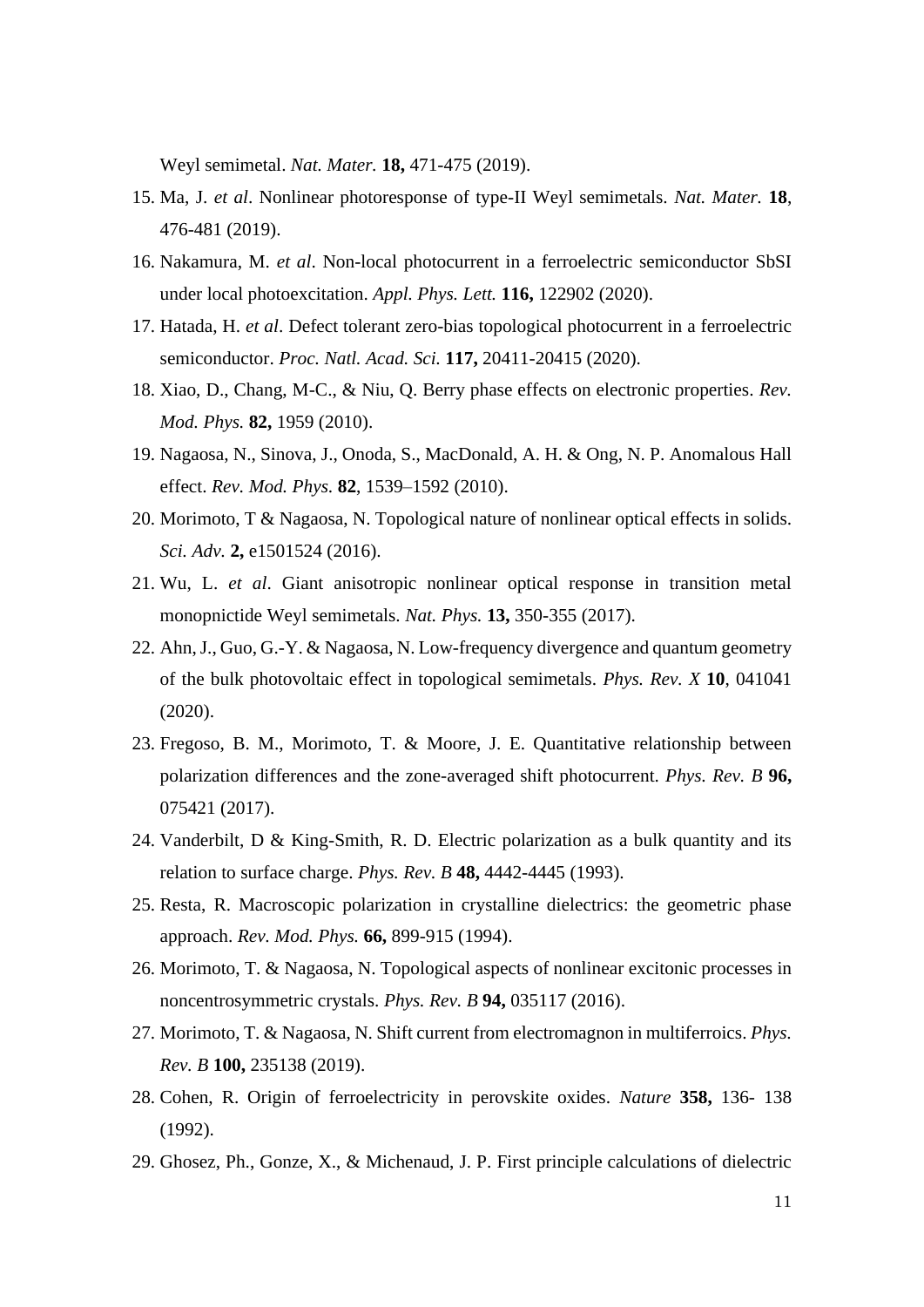Weyl semimetal. *Nat. Mater.* **18,** 471-475 (2019).

- 15. Ma, J. *et al*. Nonlinear photoresponse of type-II Weyl semimetals. *Nat. Mater.* **18**, 476-481 (2019).
- 16. Nakamura, M. *et al*. Non-local photocurrent in a ferroelectric semiconductor SbSI under local photoexcitation. *Appl. Phys. Lett.* **116,** 122902 (2020).
- 17. Hatada, H. *et al*. Defect tolerant zero-bias topological photocurrent in a ferroelectric semiconductor. *Proc. Natl. Acad. Sci.* **117,** 20411-20415 (2020).
- 18. Xiao, D., Chang, M-C., & Niu, Q. Berry phase effects on electronic properties. *Rev. Mod. Phys.* **82,** 1959 (2010).
- 19. Nagaosa, N., Sinova, J., Onoda, S., MacDonald, A. H. & Ong, N. P. Anomalous Hall effect. *Rev. Mod. Phys.* **82**, 1539–1592 (2010).
- 20. Morimoto, T & Nagaosa, N. Topological nature of nonlinear optical effects in solids. *Sci. Adv.* **2,** e1501524 (2016).
- 21. Wu, L. *et al*. Giant anisotropic nonlinear optical response in transition metal monopnictide Weyl semimetals. *Nat. Phys.* **13,** 350-355 (2017).
- 22. Ahn, J., Guo, G.-Y. & Nagaosa, N. Low-frequency divergence and quantum geometry of the bulk photovoltaic effect in topological semimetals. *Phys. Rev. X* **10**, 041041 (2020).
- 23. Fregoso, B. M., Morimoto, T. & Moore, J. E. Quantitative relationship between polarization differences and the zone-averaged shift photocurrent. *Phys. Rev. B* **96,** 075421 (2017).
- 24. Vanderbilt, D & King-Smith, R. D. Electric polarization as a bulk quantity and its relation to surface charge. *Phys. Rev. B* **48,** 4442-4445 (1993).
- 25. Resta, R. Macroscopic polarization in crystalline dielectrics: the geometric phase approach. *Rev. Mod. Phys.* **66,** 899-915 (1994).
- 26. Morimoto, T. & Nagaosa, N. Topological aspects of nonlinear excitonic processes in noncentrosymmetric crystals. *Phys. Rev. B* **94,** 035117 (2016).
- 27. Morimoto, T. & Nagaosa, N. Shift current from electromagnon in multiferroics. *Phys. Rev. B* **100,** 235138 (2019).
- 28. Cohen, R. Origin of ferroelectricity in perovskite oxides. *Nature* **358,** 136- 138 (1992).
- 29. Ghosez, Ph., Gonze, X., & Michenaud, J. P. First principle calculations of dielectric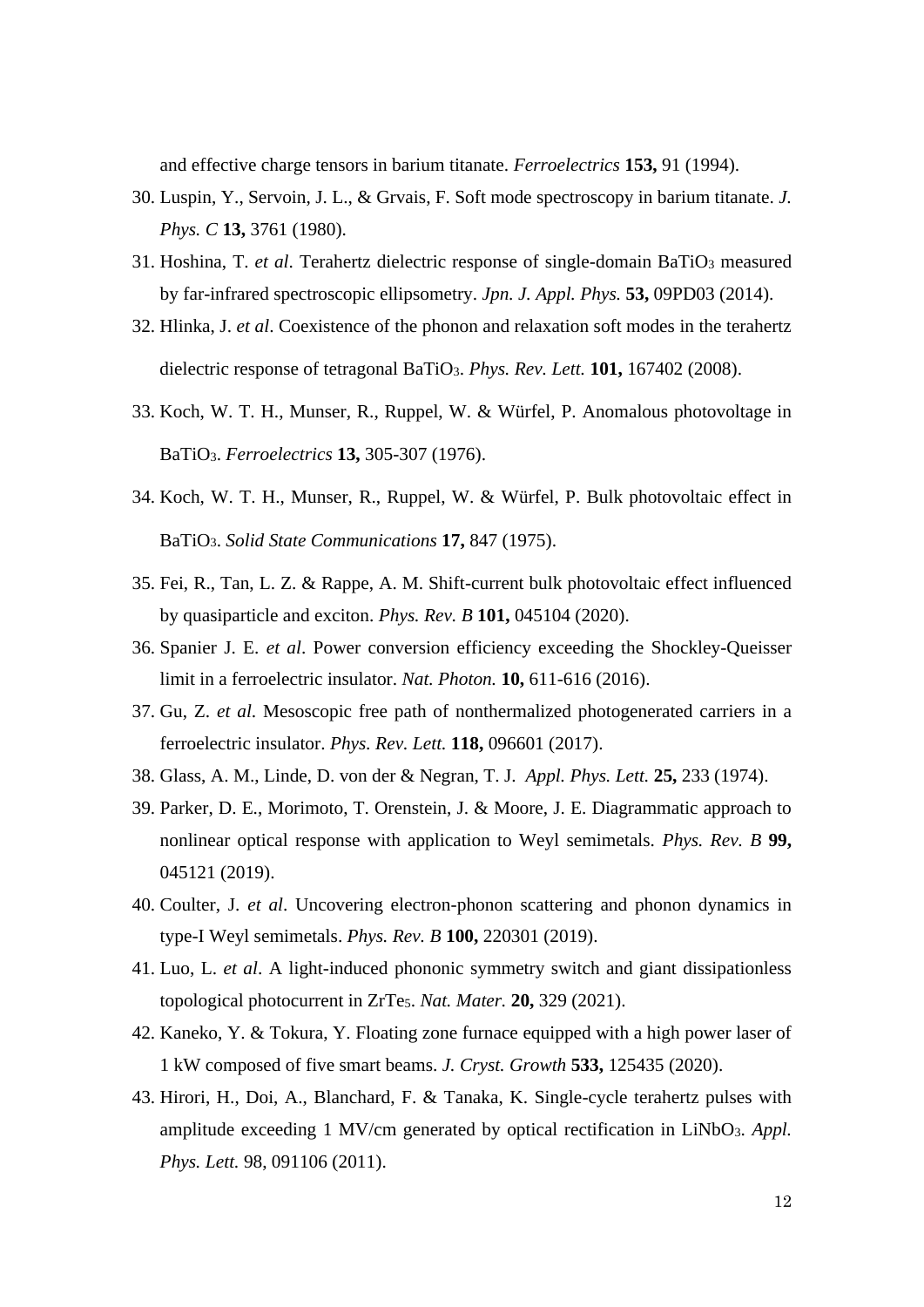and effective charge tensors in barium titanate. *Ferroelectrics* **153,** 91 (1994).

- 30. Luspin, Y., Servoin, J. L., & Grvais, F. Soft mode spectroscopy in barium titanate. *J. Phys. C* **13,** 3761 (1980).
- 31. Hoshina, T. *et al*. Terahertz dielectric response of single-domain BaTiO<sup>3</sup> measured by far-infrared spectroscopic ellipsometry. *Jpn. J. Appl. Phys.* **53,** 09PD03 (2014).
- 32. Hlinka, J. *et al*. Coexistence of the phonon and relaxation soft modes in the terahertz dielectric response of tetragonal BaTiO3. *Phys. Rev. Lett.* **101,** 167402 (2008).
- 33. Koch, W. T. H., Munser, R., Ruppel, W. & Würfel, P. Anomalous photovoltage in BaTiO3. *Ferroelectrics* **13,** 305-307 (1976).
- 34. Koch, W. T. H., Munser, R., Ruppel, W. & Würfel, P. Bulk photovoltaic effect in BaTiO3. *Solid State Communications* **17,** 847 (1975).
- 35. Fei, R., Tan, L. Z. & Rappe, A. M. Shift-current bulk photovoltaic effect influenced by quasiparticle and exciton. *Phys. Rev. B* **101,** 045104 (2020).
- 36. Spanier J. E. *et al*. Power conversion efficiency exceeding the Shockley-Queisser limit in a ferroelectric insulator. *Nat. Photon.* **10,** 611-616 (2016).
- 37. Gu, Z. *et al*. Mesoscopic free path of nonthermalized photogenerated carriers in a ferroelectric insulator. *Phys. Rev. Lett.* **118,** 096601 (2017).
- 38. Glass, A. M., Linde, D. von der & Negran, T. J. *Appl. Phys. Lett.* **25,** 233 (1974).
- 39. Parker, D. E., Morimoto, T. Orenstein, J. & Moore, J. E. Diagrammatic approach to nonlinear optical response with application to Weyl semimetals. *Phys. Rev. B* **99,** 045121 (2019).
- 40. Coulter, J. *et al*. Uncovering electron-phonon scattering and phonon dynamics in type-I Weyl semimetals. *Phys. Rev. B* **100,** 220301 (2019).
- 41. Luo, L. *et al*. A light-induced phononic symmetry switch and giant dissipationless topological photocurrent in ZrTe5. *Nat. Mater.* **20,** 329 (2021).
- 42. Kaneko, Y. & Tokura, Y. Floating zone furnace equipped with a high power laser of 1 kW composed of five smart beams. *J. Cryst. Growth* **533,** 125435 (2020).
- 43. Hirori, H., Doi, A., Blanchard, F. & Tanaka, K. Single-cycle terahertz pulses with amplitude exceeding 1 MV/cm generated by optical rectification in LiNbO<sub>3</sub>. *Appl. Phys. Lett.* 98, 091106 (2011).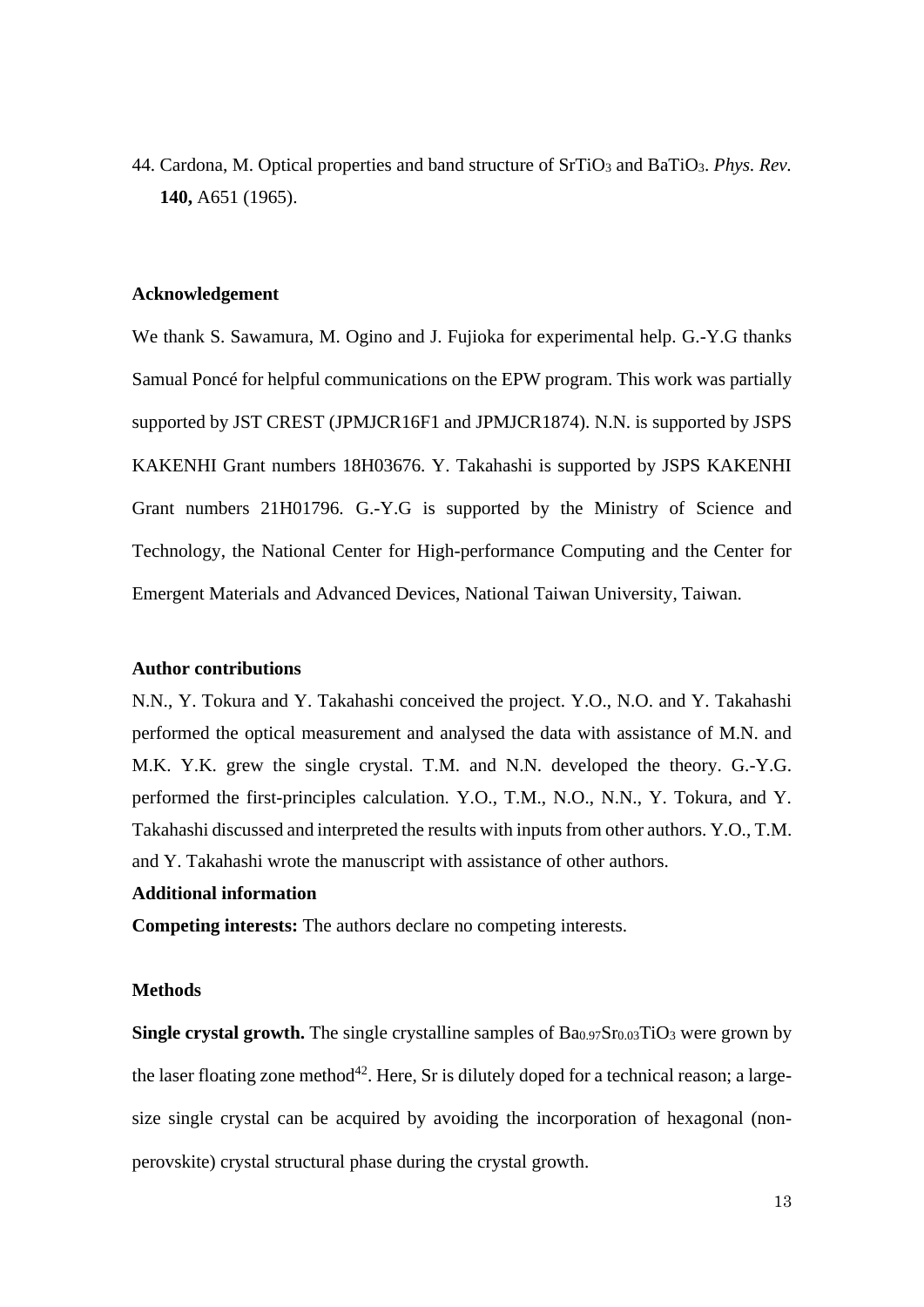44. Cardona, M. Optical properties and band structure of SrTiO<sup>3</sup> and BaTiO3. *Phys. Rev.* **140,** A651 (1965).

### **Acknowledgement**

We thank S. Sawamura, M. Ogino and J. Fujioka for experimental help. G.-Y.G thanks Samual Poncé for helpful communications on the EPW program. This work was partially supported by JST CREST (JPMJCR16F1 and JPMJCR1874). N.N. is supported by JSPS KAKENHI Grant numbers 18H03676. Y. Takahashi is supported by JSPS KAKENHI Grant numbers 21H01796. G.-Y.G is supported by the Ministry of Science and Technology, the National Center for High-performance Computing and the Center for Emergent Materials and Advanced Devices, National Taiwan University, Taiwan.

# **Author contributions**

N.N., Y. Tokura and Y. Takahashi conceived the project. Y.O., N.O. and Y. Takahashi performed the optical measurement and analysed the data with assistance of M.N. and M.K. Y.K. grew the single crystal. T.M. and N.N. developed the theory. G.-Y.G. performed the first-principles calculation. Y.O., T.M., N.O., N.N., Y. Tokura, and Y. Takahashi discussed and interpreted the results with inputs from other authors. Y.O., T.M. and Y. Takahashi wrote the manuscript with assistance of other authors.

# **Additional information**

**Competing interests:** The authors declare no competing interests.

### **Methods**

**Single crystal growth.** The single crystalline samples of Ba0.97Sr0.03TiO3 were grown by the laser floating zone method<sup>42</sup>. Here, Sr is dilutely doped for a technical reason; a largesize single crystal can be acquired by avoiding the incorporation of hexagonal (nonperovskite) crystal structural phase during the crystal growth.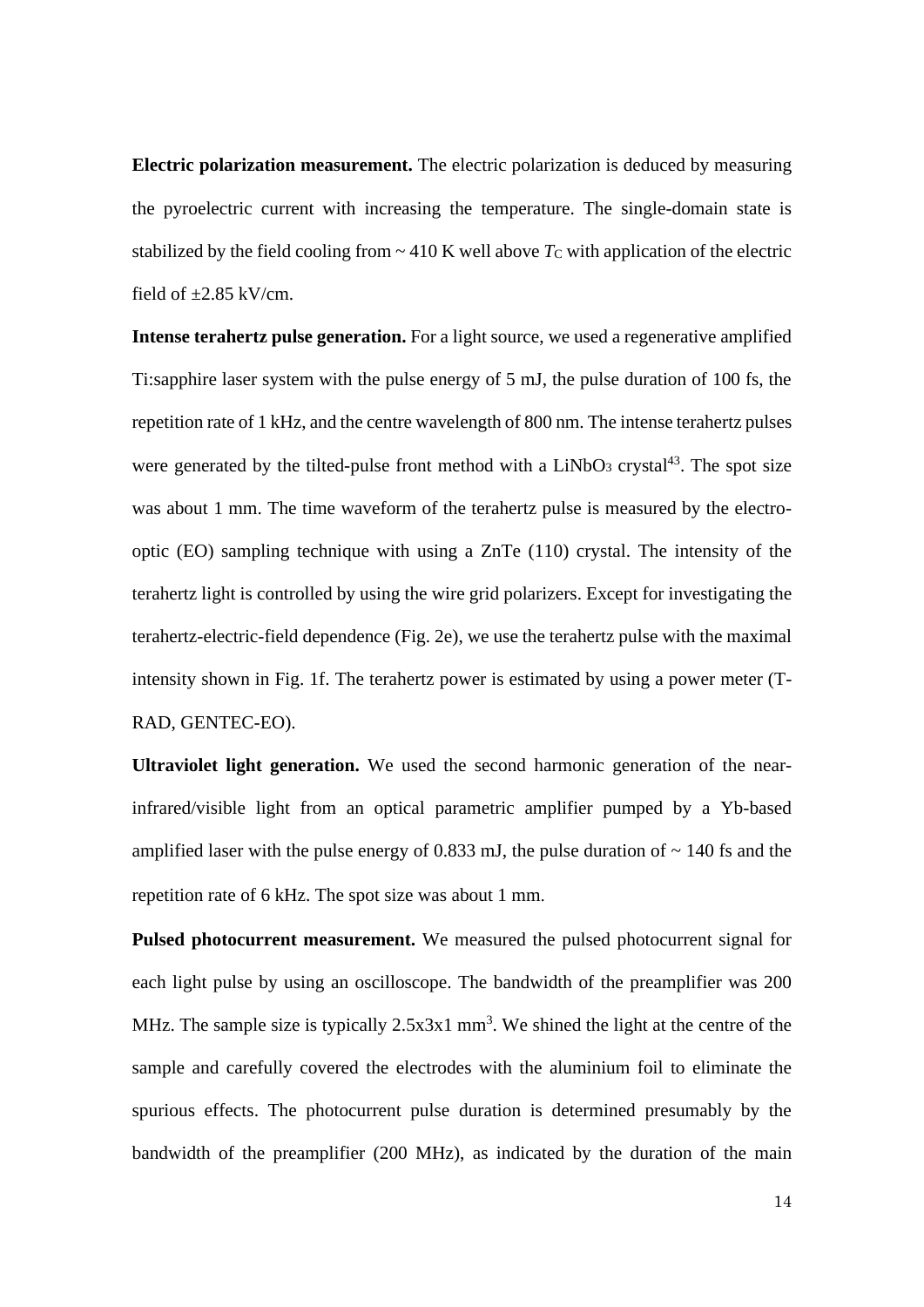**Electric polarization measurement.** The electric polarization is deduced by measuring the pyroelectric current with increasing the temperature. The single-domain state is stabilized by the field cooling from  $\sim$  410 K well above  $T_c$  with application of the electric field of  $\pm 2.85$  kV/cm.

**Intense terahertz pulse generation.** For a light source, we used a regenerative amplified Ti:sapphire laser system with the pulse energy of 5 mJ, the pulse duration of 100 fs, the repetition rate of 1 kHz, and the centre wavelength of 800 nm. The intense terahertz pulses were generated by the tilted-pulse front method with a  $LiNbO<sub>3</sub>$  crystal<sup>43</sup>. The spot size was about 1 mm. The time waveform of the terahertz pulse is measured by the electrooptic (EO) sampling technique with using a ZnTe (110) crystal. The intensity of the terahertz light is controlled by using the wire grid polarizers. Except for investigating the terahertz-electric-field dependence (Fig. 2e), we use the terahertz pulse with the maximal intensity shown in Fig. 1f. The terahertz power is estimated by using a power meter (T-RAD, GENTEC-EO).

**Ultraviolet light generation.** We used the second harmonic generation of the nearinfrared/visible light from an optical parametric amplifier pumped by a Yb-based amplified laser with the pulse energy of 0.833 mJ, the pulse duration of  $\sim$  140 fs and the repetition rate of 6 kHz. The spot size was about 1 mm

**Pulsed photocurrent measurement.** We measured the pulsed photocurrent signal for each light pulse by using an oscilloscope. The bandwidth of the preamplifier was 200 MHz. The sample size is typically  $2.5x3x1$  mm<sup>3</sup>. We shined the light at the centre of the sample and carefully covered the electrodes with the aluminium foil to eliminate the spurious effects. The photocurrent pulse duration is determined presumably by the bandwidth of the preamplifier (200 MHz), as indicated by the duration of the main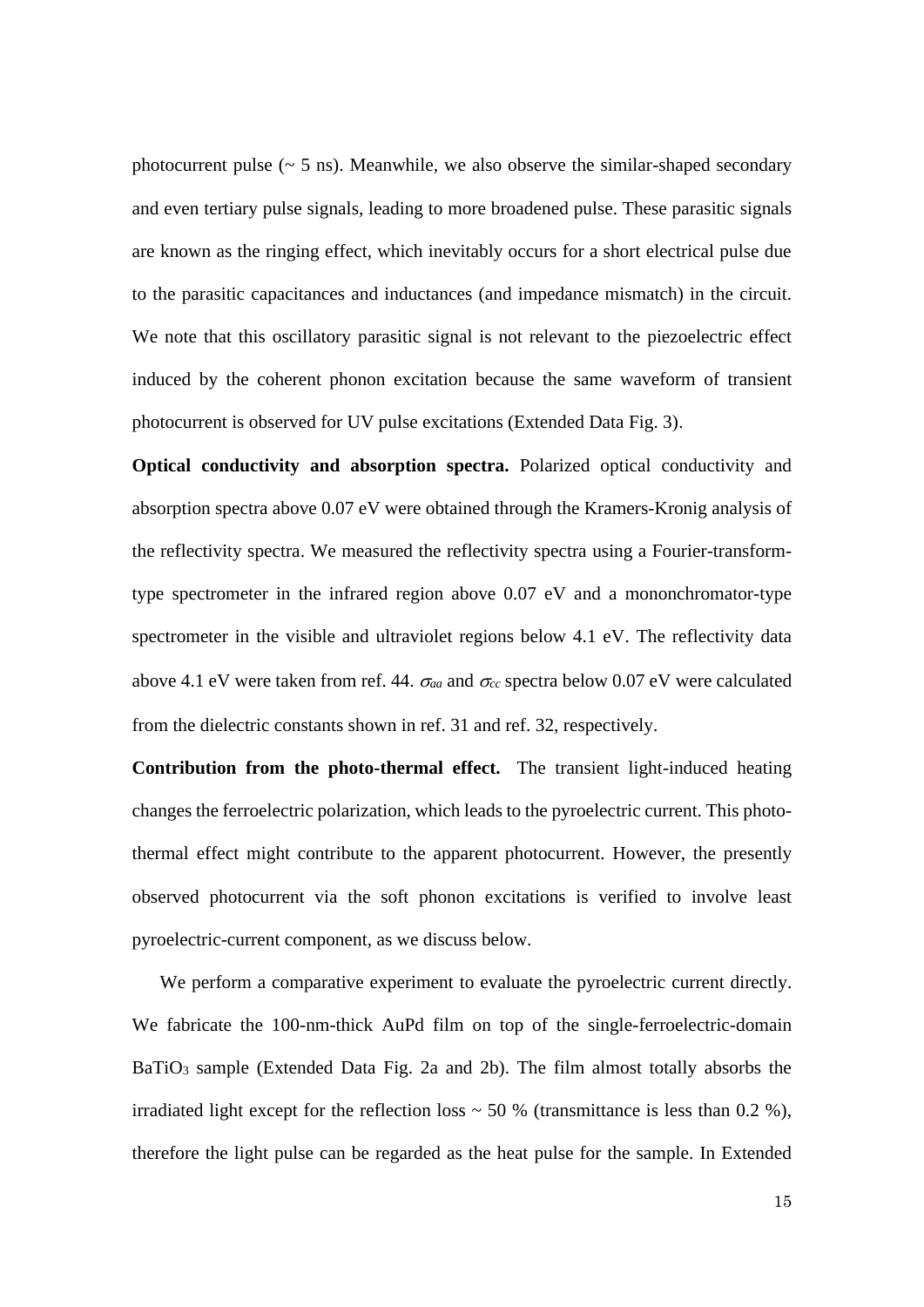photocurrent pulse  $({\sim} 5 \text{ ns})$ . Meanwhile, we also observe the similar-shaped secondary and even tertiary pulse signals, leading to more broadened pulse. These parasitic signals are known as the ringing effect, which inevitably occurs for a short electrical pulse due to the parasitic capacitances and inductances (and impedance mismatch) in the circuit. We note that this oscillatory parasitic signal is not relevant to the piezoelectric effect induced by the coherent phonon excitation because the same waveform of transient photocurrent is observed for UV pulse excitations (Extended Data Fig. 3).

**Optical conductivity and absorption spectra.** Polarized optical conductivity and absorption spectra above 0.07 eV were obtained through the Kramers-Kronig analysis of the reflectivity spectra. We measured the reflectivity spectra using a Fourier-transformtype spectrometer in the infrared region above 0.07 eV and a mononchromator-type spectrometer in the visible and ultraviolet regions below 4.1 eV. The reflectivity data above 4.1 eV were taken from ref. 44.  $\sigma_{aa}$  and  $\sigma_{cc}$  spectra below 0.07 eV were calculated from the dielectric constants shown in ref. 31 and ref. 32, respectively.

**Contribution from the photo-thermal effect.** The transient light-induced heating changes the ferroelectric polarization, which leads to the pyroelectric current. This photothermal effect might contribute to the apparent photocurrent. However, the presently observed photocurrent via the soft phonon excitations is verified to involve least pyroelectric-current component, as we discuss below.

We perform a comparative experiment to evaluate the pyroelectric current directly. We fabricate the 100-nm-thick AuPd film on top of the single-ferroelectric-domain BaTiO<sub>3</sub> sample (Extended Data Fig. 2a and 2b). The film almost totally absorbs the irradiated light except for the reflection loss  $\sim$  50 % (transmittance is less than 0.2 %), therefore the light pulse can be regarded as the heat pulse for the sample. In Extended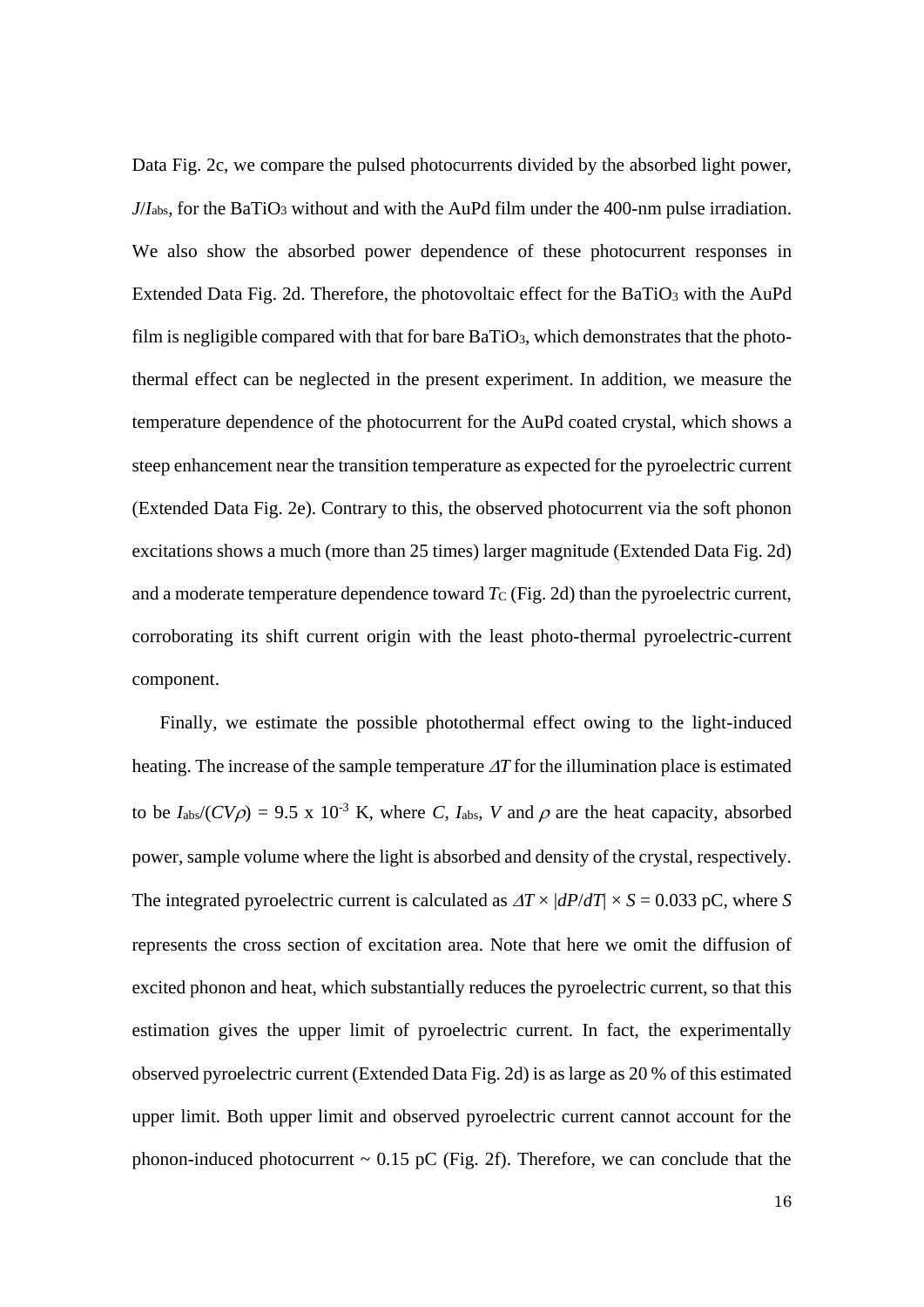Data Fig. 2c, we compare the pulsed photocurrents divided by the absorbed light power, *J*/*I*<sub>abs</sub>, for the BaTiO<sub>3</sub> without and with the AuPd film under the 400-nm pulse irradiation. We also show the absorbed power dependence of these photocurrent responses in Extended Data Fig. 2d. Therefore, the photovoltaic effect for the BaTiO<sup>3</sup> with the AuPd film is negligible compared with that for bare  $BaTiO<sub>3</sub>$ , which demonstrates that the photothermal effect can be neglected in the present experiment. In addition, we measure the temperature dependence of the photocurrent for the AuPd coated crystal, which shows a steep enhancement near the transition temperature as expected for the pyroelectric current (Extended Data Fig. 2e). Contrary to this, the observed photocurrent via the soft phonon excitations shows a much (more than 25 times) larger magnitude (Extended Data Fig. 2d) and a moderate temperature dependence toward  $T_c$  (Fig. 2d) than the pyroelectric current, corroborating its shift current origin with the least photo-thermal pyroelectric-current component.

Finally, we estimate the possible photothermal effect owing to the light-induced heating. The increase of the sample temperature  $\Delta T$  for the illumination place is estimated to be  $I_{\text{abs}}/(CV\rho) = 9.5 \times 10^{-3} \text{ K}$ , where *C*,  $I_{\text{abs}}$ , *V* and  $\rho$  are the heat capacity, absorbed power, sample volume where the light is absorbed and density of the crystal, respectively. The integrated pyroelectric current is calculated as  $\Delta T \times |dP/dT| \times S = 0.033$  pC, where *S* represents the cross section of excitation area*.* Note that here we omit the diffusion of excited phonon and heat, which substantially reduces the pyroelectric current, so that this estimation gives the upper limit of pyroelectric current. In fact, the experimentally observed pyroelectric current (Extended Data Fig. 2d) is as large as 20 % of this estimated upper limit. Both upper limit and observed pyroelectric current cannot account for the phonon-induced photocurrent  $\sim 0.15$  pC (Fig. 2f). Therefore, we can conclude that the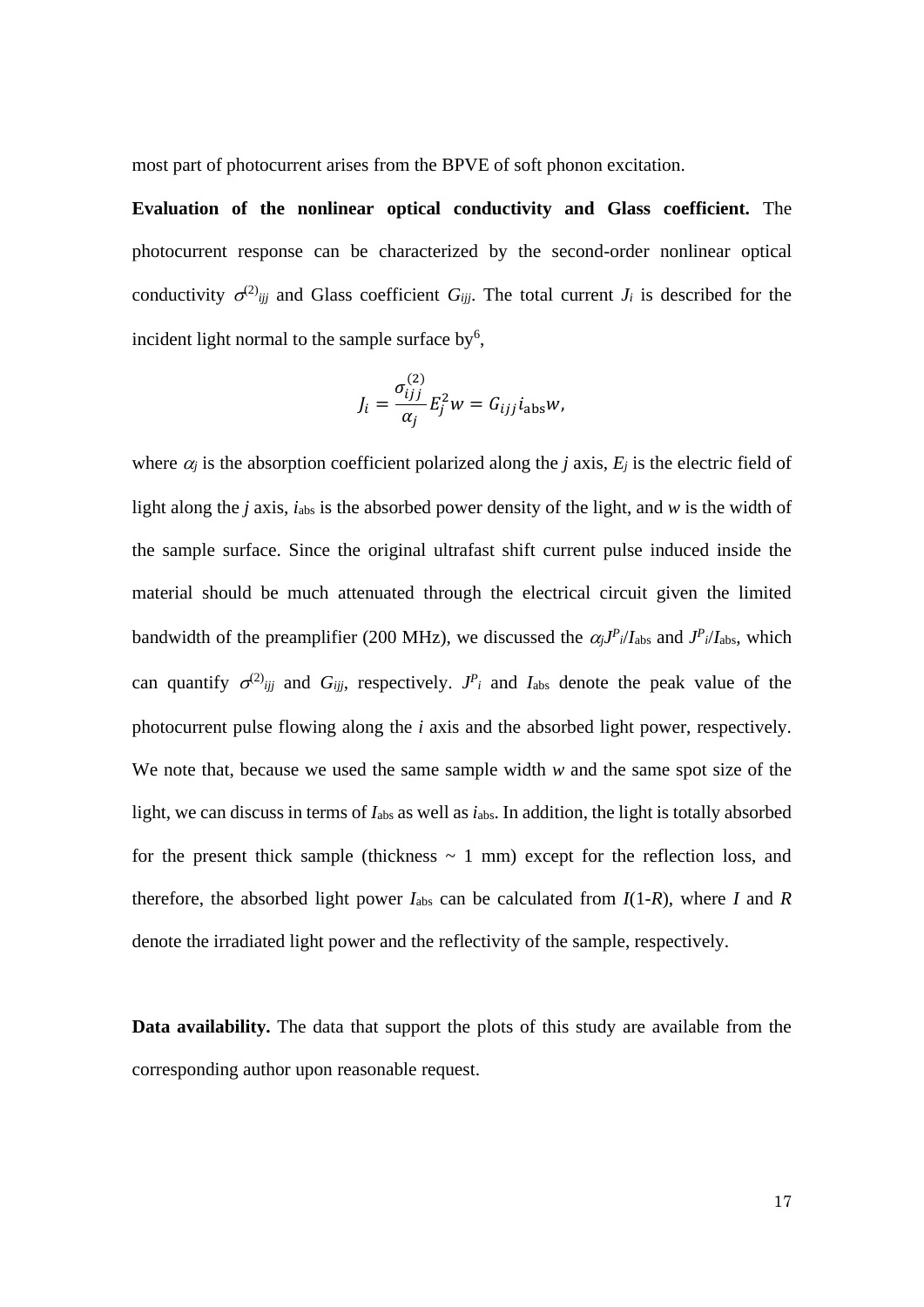most part of photocurrent arises from the BPVE of soft phonon excitation.

**Evaluation of the nonlinear optical conductivity and Glass coefficient.** The photocurrent response can be characterized by the second-order nonlinear optical conductivity  $\sigma^{(2)}$ <sub>*ijj*</sub> and Glass coefficient *G<sub>ijj</sub>*. The total current *J<sub>i</sub>* is described for the incident light normal to the sample surface by<sup>6</sup>,

$$
J_i = \frac{\sigma_{ijj}^{(2)}}{\alpha_j} E_j^2 w = G_{ijj} i_{\text{abs}} w,
$$

where  $\alpha_j$  is the absorption coefficient polarized along the *j* axis,  $E_j$  is the electric field of light along the *j* axis, *i*abs is the absorbed power density of the light, and *w* is the width of the sample surface. Since the original ultrafast shift current pulse induced inside the material should be much attenuated through the electrical circuit given the limited bandwidth of the preamplifier (200 MHz), we discussed the  $\alpha_j J^P$ <sub>*i*</sub>/*I*<sub>abs</sub> and  $J^P$ <sub>*i*</sub>/*I*<sub>abs</sub>, which can quantify  $\sigma^{(2)}$ <sub>*ijj*</sub> and *G*<sub>*ijj*</sub>, respectively. *J*<sup>*P*</sup><sub>*i*</sub> and *I*<sub>abs</sub> denote the peak value of the photocurrent pulse flowing along the *i* axis and the absorbed light power, respectively. We note that, because we used the same sample width *w* and the same spot size of the light, we can discuss in terms of  $I_{\text{abs}}$  as well as  $i_{\text{abs}}$ . In addition, the light is totally absorbed for the present thick sample (thickness  $\sim$  1 mm) except for the reflection loss, and therefore, the absorbed light power  $I_{\text{abs}}$  can be calculated from  $I(1-R)$ , where  $I$  and  $R$ denote the irradiated light power and the reflectivity of the sample, respectively.

**Data availability.** The data that support the plots of this study are available from the corresponding author upon reasonable request.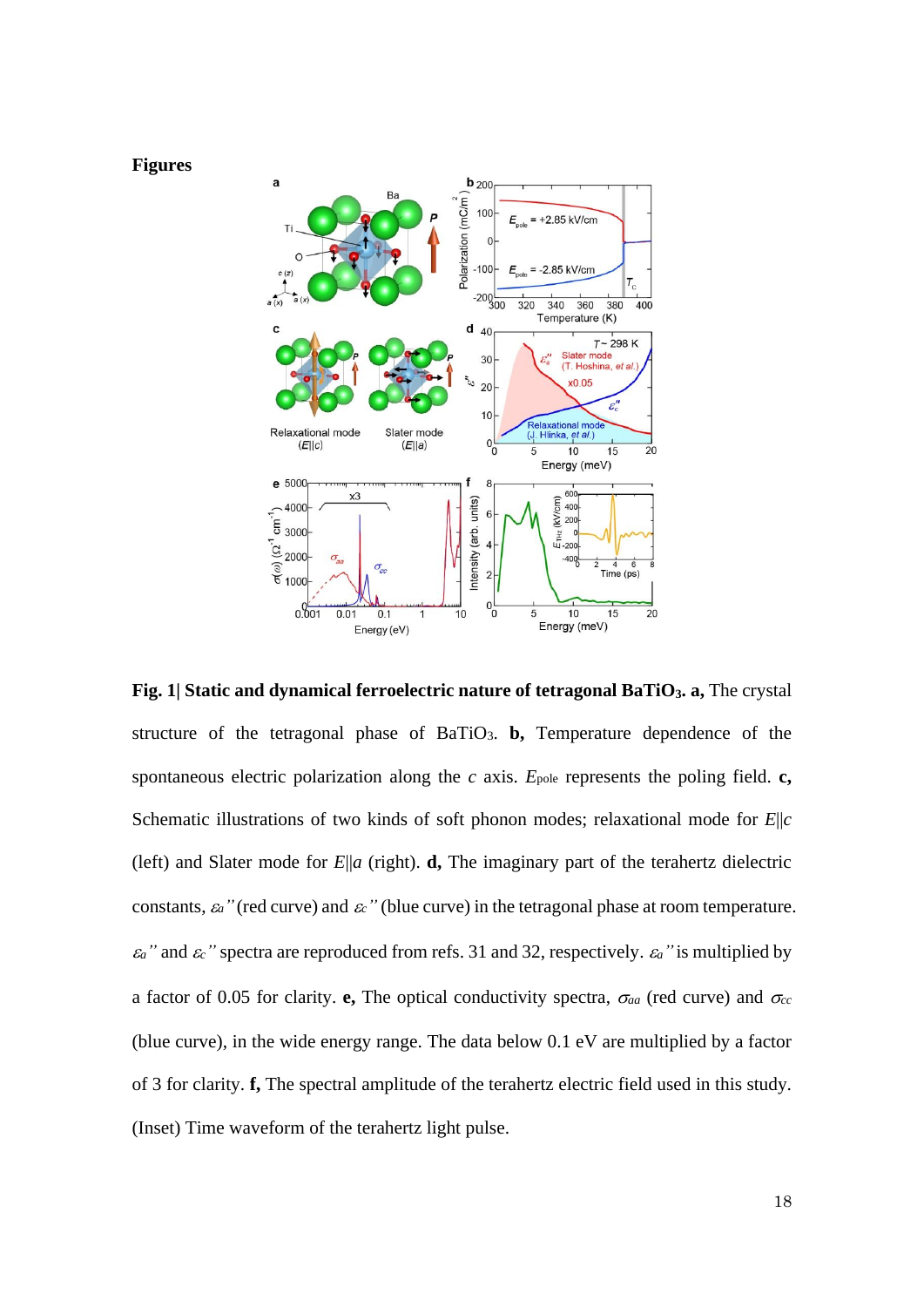



**Fig. 1| Static and dynamical ferroelectric nature of tetragonal BaTiO3. a,** The crystal structure of the tetragonal phase of BaTiO3. **b,** Temperature dependence of the spontaneous electric polarization along the  $c$  axis.  $E_{pole}$  represents the poling field.  $c$ , Schematic illustrations of two kinds of soft phonon modes; relaxational mode for *E*||*c* (left) and Slater mode for  $E||a$  (right). **d**, The imaginary part of the terahertz dielectric constants,  $\varepsilon_a$ <sup>"</sup> (red curve) and  $\varepsilon_c$ <sup>"</sup> (blue curve) in the tetragonal phase at room temperature.  $\varepsilon_a$ <sup>"</sup> and  $\varepsilon_c$ <sup>"</sup> spectra are reproduced from refs. 31 and 32, respectively.  $\varepsilon_a$ <sup>"</sup> is multiplied by a factor of 0.05 for clarity. **e**, The optical conductivity spectra,  $\sigma_{aa}$  (red curve) and  $\sigma_{cc}$ (blue curve), in the wide energy range. The data below 0.1 eV are multiplied by a factor of 3 for clarity. **f,** The spectral amplitude of the terahertz electric field used in this study. (Inset) Time waveform of the terahertz light pulse.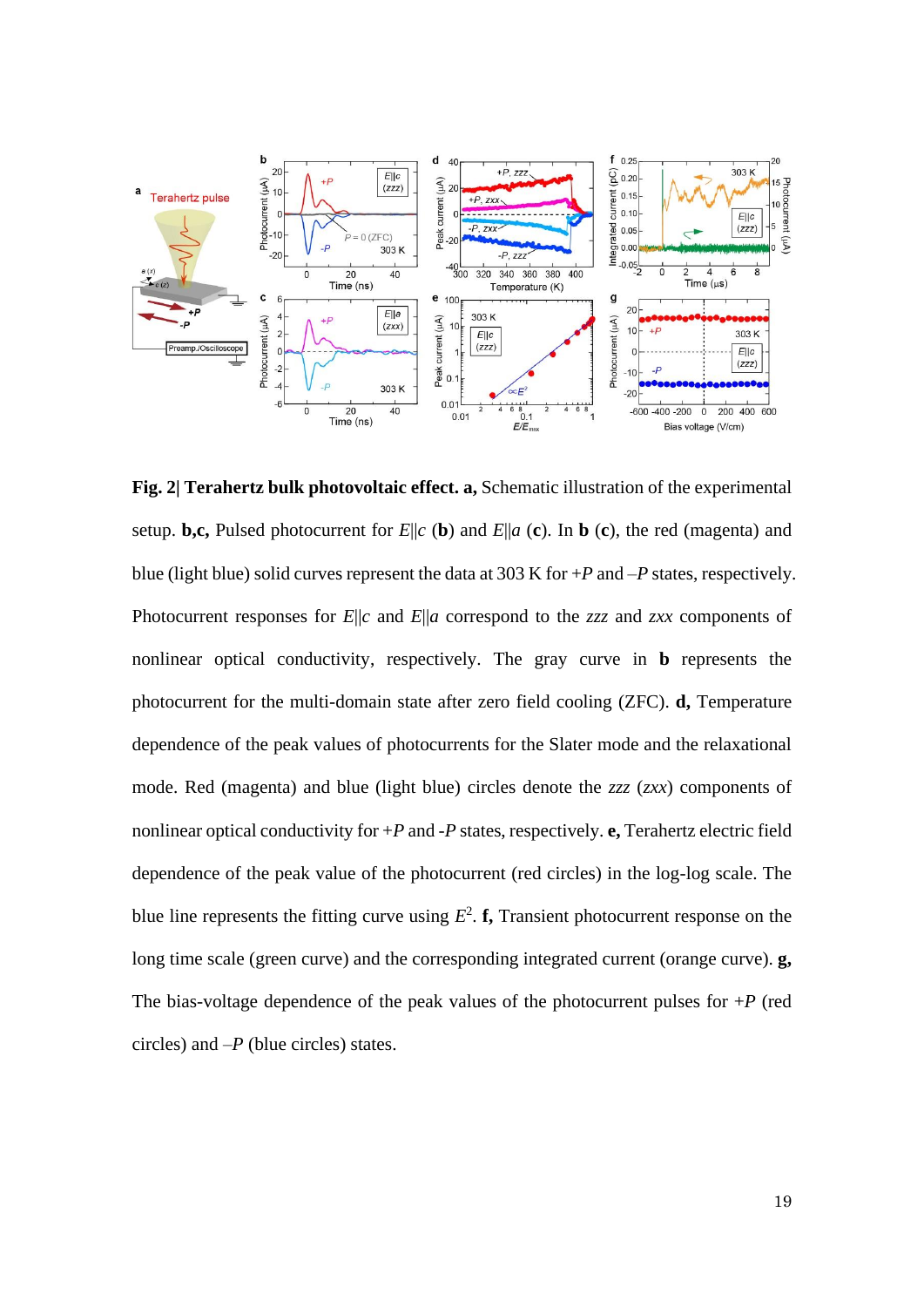

**Fig. 2| Terahertz bulk photovoltaic effect. a,** Schematic illustration of the experimental setup. **b,c,** Pulsed photocurrent for *E*||*c* (**b**) and *E*||*a* (**c**). In **b** (**c**), the red (magenta) and blue (light blue) solid curves represent the data at 303 K for +*P* and –*P* states, respectively. Photocurrent responses for *E*||*c* and *E*||*a* correspond to the *zzz* and *zxx* components of nonlinear optical conductivity, respectively. The gray curve in **b** represents the photocurrent for the multi-domain state after zero field cooling (ZFC). **d,** Temperature dependence of the peak values of photocurrents for the Slater mode and the relaxational mode. Red (magenta) and blue (light blue) circles denote the *zzz* (*zxx*) components of nonlinear optical conductivity for +*P* and -*P* states, respectively. **e,** Terahertz electric field dependence of the peak value of the photocurrent (red circles) in the log-log scale. The blue line represents the fitting curve using  $E^2$ . **f**, Transient photocurrent response on the long time scale (green curve) and the corresponding integrated current (orange curve). **g,** The bias-voltage dependence of the peak values of the photocurrent pulses for  $+P$  (red circles) and –*P* (blue circles) states.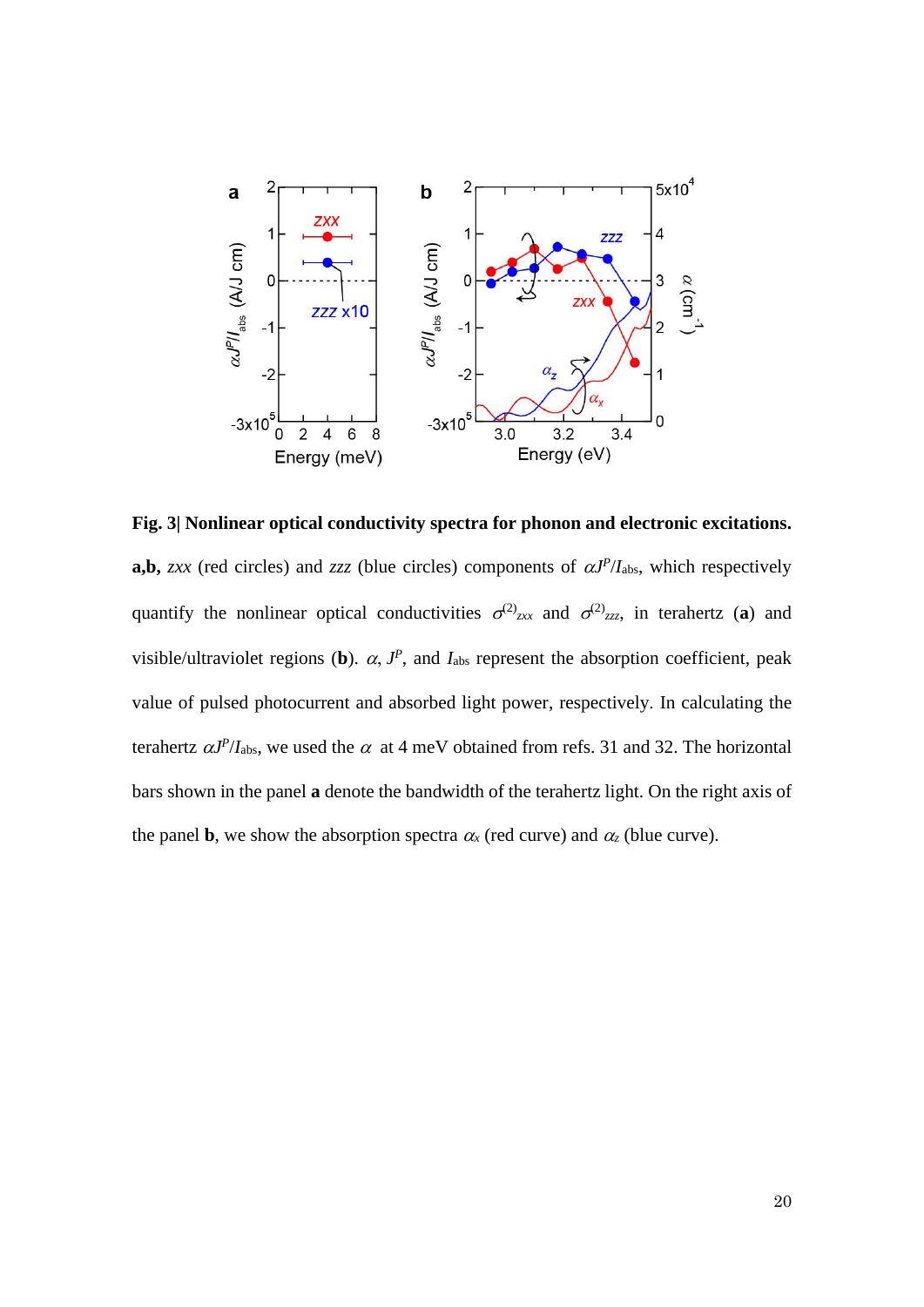

**Fig. 3| Nonlinear optical conductivity spectra for phonon and electronic excitations. a,b,** *zxx* (red circles) and *zzz* (blue circles) components of  $\alpha J^P/I_{\text{abs}}$ , which respectively quantify the nonlinear optical conductivities  $\sigma^{(2)}_{z}$  and  $\sigma^{(2)}_{z}$  in terahertz (a) and visible/ultraviolet regions (b).  $\alpha$ ,  $J^P$ , and  $I_{\text{abs}}$  represent the absorption coefficient, peak value of pulsed photocurrent and absorbed light power, respectively. In calculating the terahertz  $\alpha J^P/I_{\text{abs}}$ , we used the  $\alpha$  at 4 meV obtained from refs. 31 and 32. The horizontal bars shown in the panel **a** denote the bandwidth of the terahertz light. On the right axis of the panel **b**, we show the absorption spectra  $\alpha_x$  (red curve) and  $\alpha_z$  (blue curve).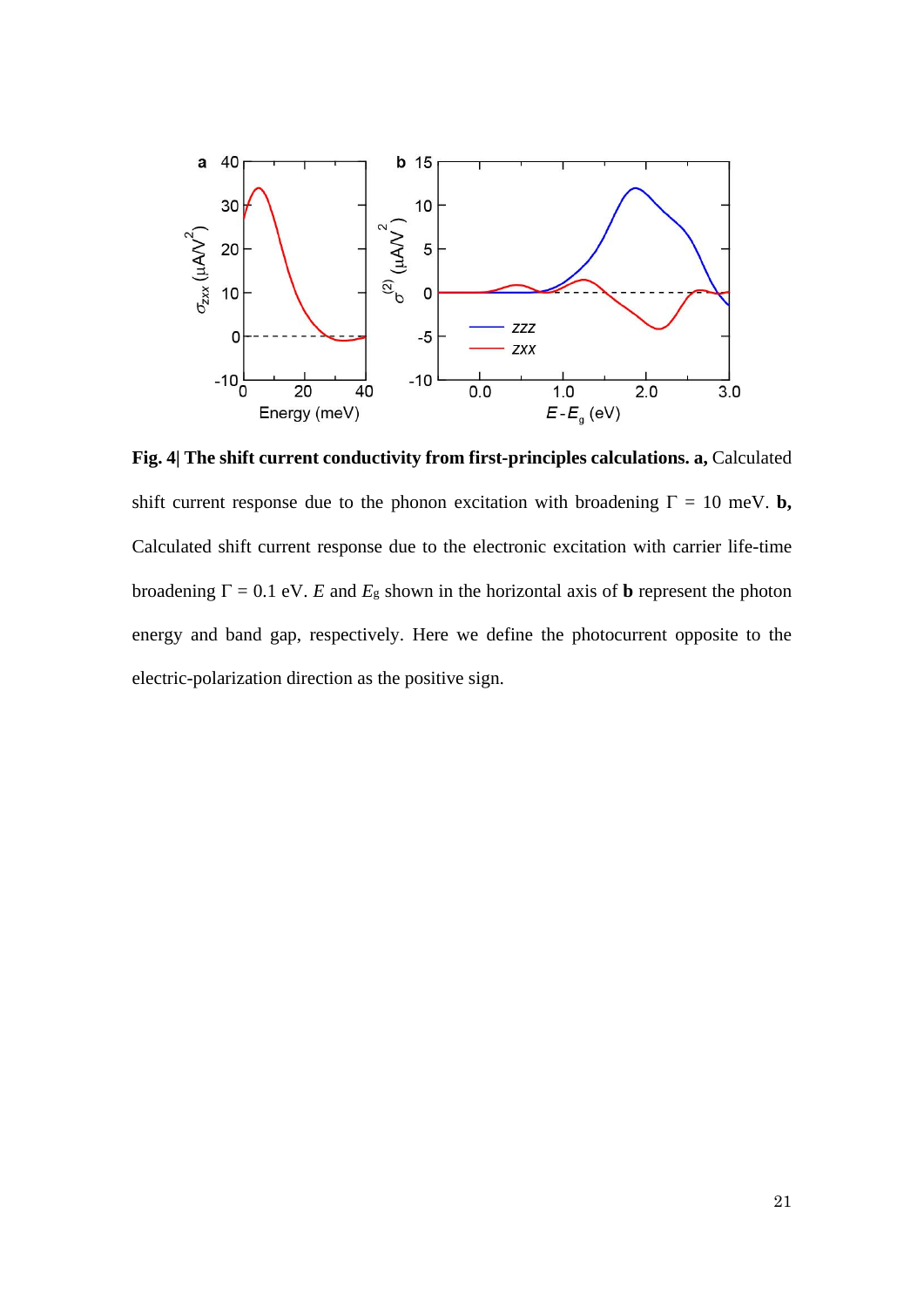

**Fig. 4| The shift current conductivity from first-principles calculations. a,** Calculated shift current response due to the phonon excitation with broadening  $\Gamma = 10$  meV. **b**, Calculated shift current response due to the electronic excitation with carrier life-time broadening  $\Gamma = 0.1$  eV. *E* and  $E_g$  shown in the horizontal axis of **b** represent the photon energy and band gap, respectively. Here we define the photocurrent opposite to the electric-polarization direction as the positive sign.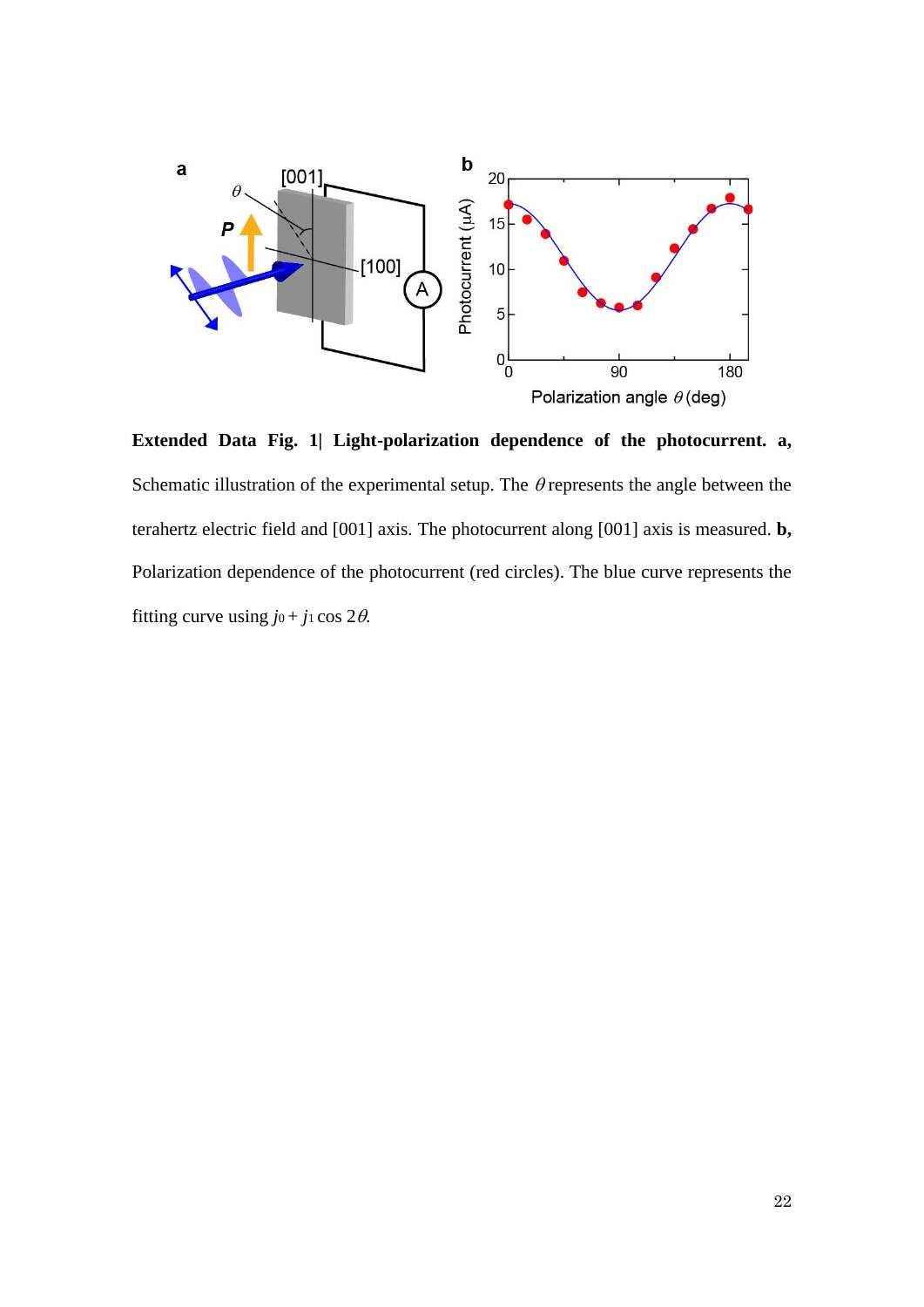

**Extended Data Fig. 1| Light-polarization dependence of the photocurrent. a,**  Schematic illustration of the experimental setup. The  $\theta$  represents the angle between the terahertz electric field and [001] axis. The photocurrent along [001] axis is measured. **b,**  Polarization dependence of the photocurrent (red circles). The blue curve represents the fitting curve using  $j_0 + j_1 \cos 2\theta$ .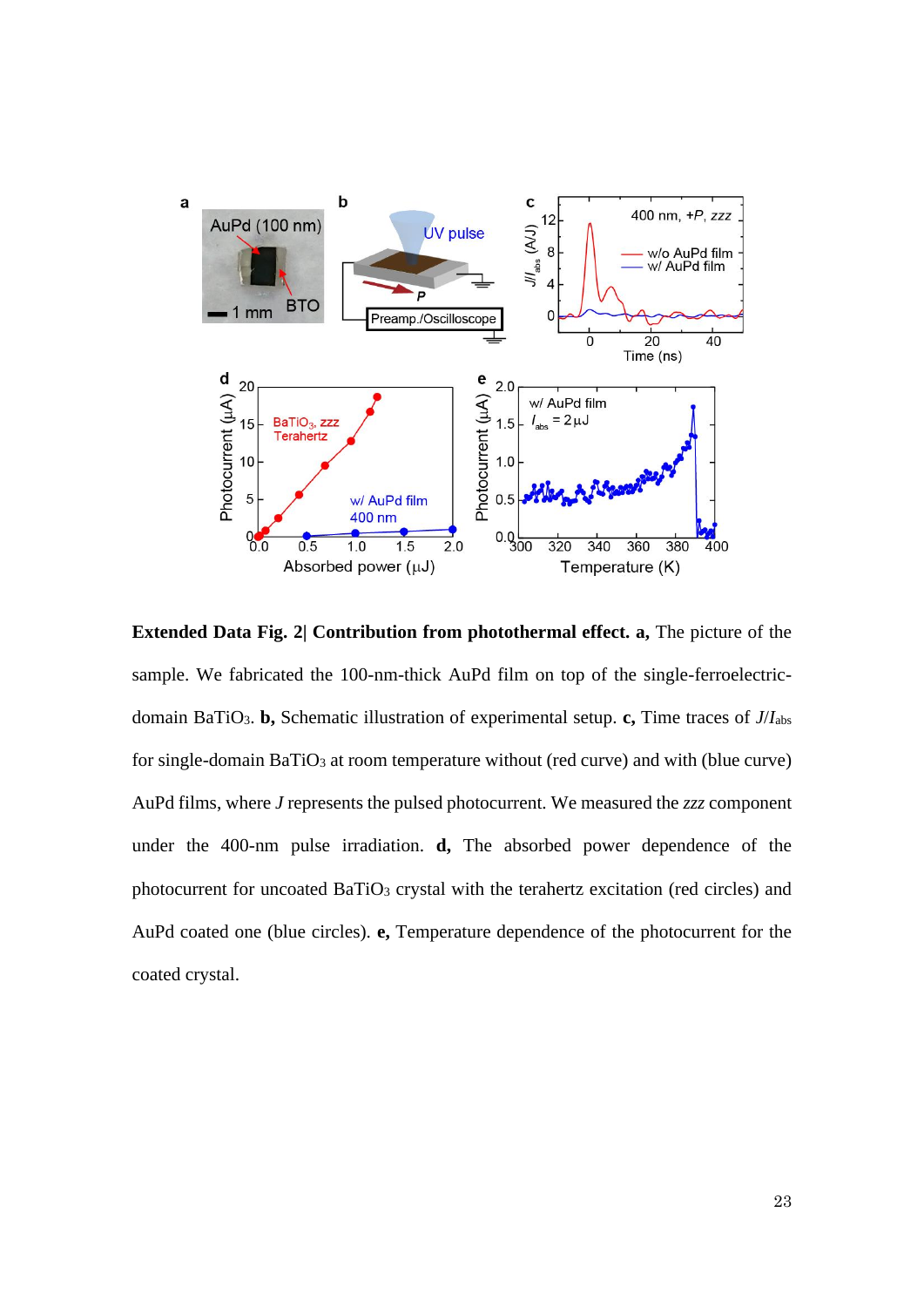

**Extended Data Fig. 2 Contribution from photothermal effect. a, The picture of the** sample. We fabricated the 100-nm-thick AuPd film on top of the single-ferroelectricdomain BaTiO3. **b,** Schematic illustration of experimental setup. **c,** Time traces of *J*/*I*abs for single-domain BaTiO<sub>3</sub> at room temperature without (red curve) and with (blue curve) AuPd films, where *J* represents the pulsed photocurrent. We measured the *zzz* component under the 400-nm pulse irradiation. **d,** The absorbed power dependence of the photocurrent for uncoated BaTiO<sub>3</sub> crystal with the terahertz excitation (red circles) and AuPd coated one (blue circles). **e,** Temperature dependence of the photocurrent for the coated crystal.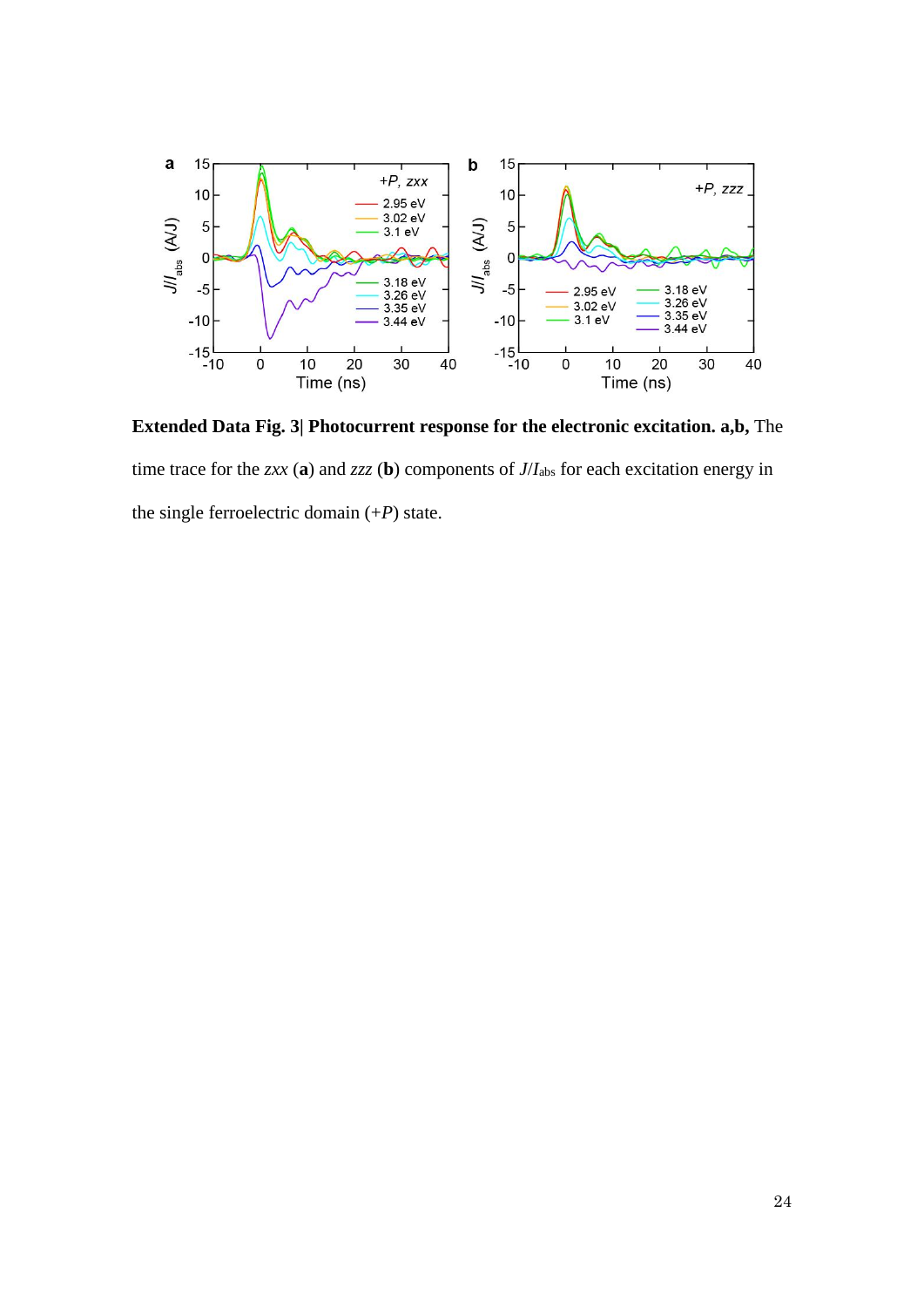

**Extended Data Fig. 3| Photocurrent response for the electronic excitation. a,b,** The time trace for the *zxx* (**a**) and *zzz* (**b**) components of *J*/*I*abs for each excitation energy in the single ferroelectric domain (+*P*) state.